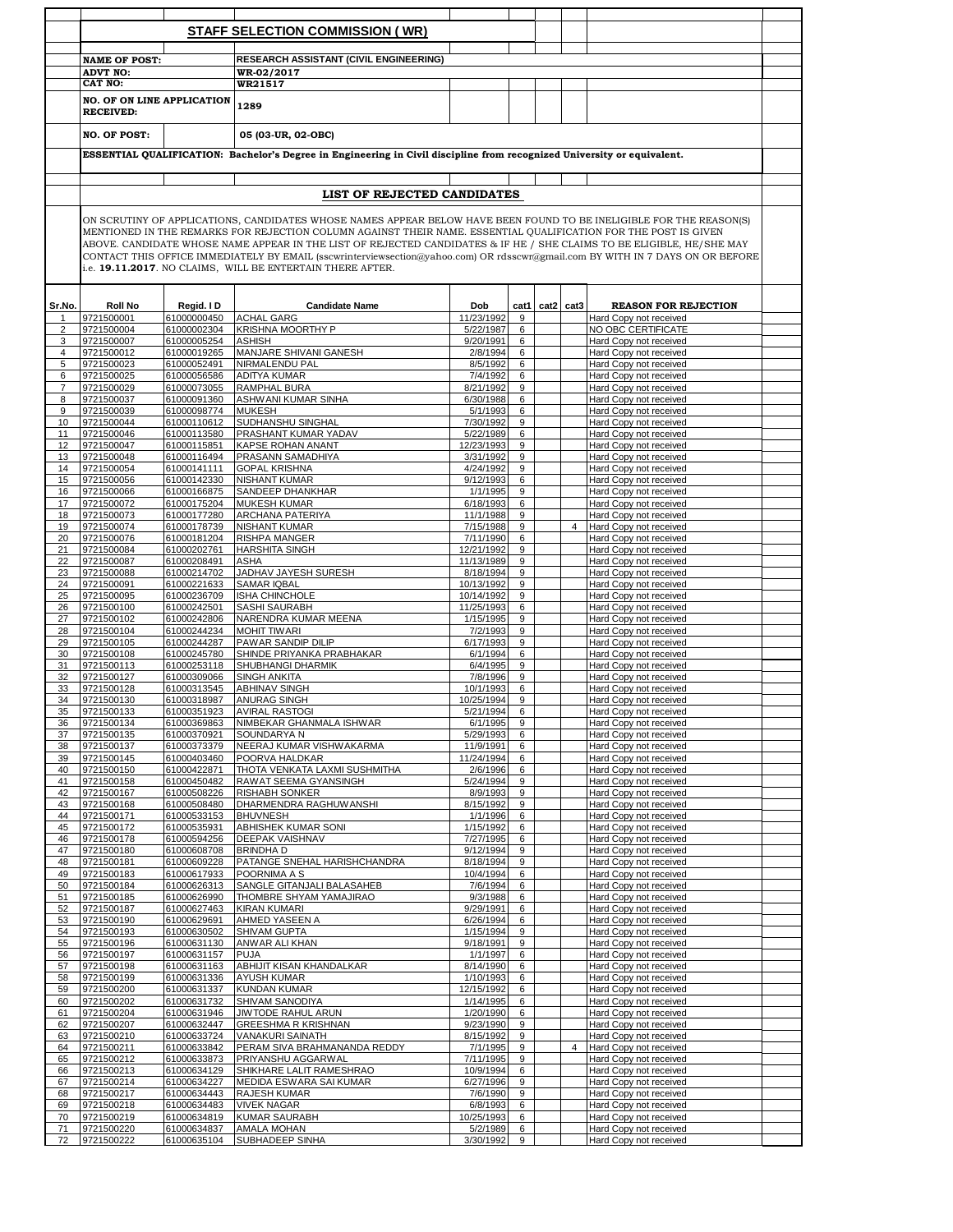|                |                                              |                            | <b>STAFF SELECTION COMMISSION (WR)</b>                                                                                                                                                                                                                                                                                                                                                                                                                                                                                                                          |                        |        |                |                                                  |  |
|----------------|----------------------------------------------|----------------------------|-----------------------------------------------------------------------------------------------------------------------------------------------------------------------------------------------------------------------------------------------------------------------------------------------------------------------------------------------------------------------------------------------------------------------------------------------------------------------------------------------------------------------------------------------------------------|------------------------|--------|----------------|--------------------------------------------------|--|
|                | <b>NAME OF POST:</b><br><b>ADVT NO:</b>      |                            | RESEARCH ASSISTANT (CIVIL ENGINEERING)<br>WR-02/2017                                                                                                                                                                                                                                                                                                                                                                                                                                                                                                            |                        |        |                |                                                  |  |
|                | CAT NO:<br><b>NO. OF ON LINE APPLICATION</b> |                            | WR21517                                                                                                                                                                                                                                                                                                                                                                                                                                                                                                                                                         |                        |        |                |                                                  |  |
|                | <b>RECEIVED:</b>                             |                            | 1289                                                                                                                                                                                                                                                                                                                                                                                                                                                                                                                                                            |                        |        |                |                                                  |  |
|                | <b>NO. OF POST:</b>                          |                            | 05 (03-UR, 02-OBC)                                                                                                                                                                                                                                                                                                                                                                                                                                                                                                                                              |                        |        |                |                                                  |  |
|                |                                              |                            | ESSENTIAL QUALIFICATION: Bachelor's Degree in Engineering in Civil discipline from recognized University or equivalent.                                                                                                                                                                                                                                                                                                                                                                                                                                         |                        |        |                |                                                  |  |
|                |                                              |                            |                                                                                                                                                                                                                                                                                                                                                                                                                                                                                                                                                                 |                        |        |                |                                                  |  |
|                |                                              |                            | LIST OF REJECTED CANDIDATES                                                                                                                                                                                                                                                                                                                                                                                                                                                                                                                                     |                        |        |                |                                                  |  |
|                |                                              |                            | ON SCRUTINY OF APPLICATIONS, CANDIDATES WHOSE NAMES APPEAR BELOW HAVE BEEN FOUND TO BE INELIGIBLE FOR THE REASON(S)<br>MENTIONED IN THE REMARKS FOR REJECTION COLUMN AGAINST THEIR NAME. ESSENTIAL QUALIFICATION FOR THE POST IS GIVEN<br>ABOVE. CANDIDATE WHOSE NAME APPEAR IN THE LIST OF REJECTED CANDIDATES & IF HE / SHE CLAIMS TO BE ELIGIBLE, HE/SHE MAY<br>CONTACT THIS OFFICE IMMEDIATELY BY EMAIL (sscwrinterviewsection@yahoo.com) OR rdsscwr@gmail.com BY WITH IN 7 DAYS ON OR BEFORE<br>i.e. 19.11.2017. NO CLAIMS, WILL BE ENTERTAIN THERE AFTER. |                        |        |                |                                                  |  |
| Sr.No.         | <b>Roll No</b>                               | Regid. I D                 | <b>Candidate Name</b>                                                                                                                                                                                                                                                                                                                                                                                                                                                                                                                                           | Dob                    | cat1   | cat2 cat3      | <b>REASON FOR REJECTION</b>                      |  |
| $\mathbf{1}$   | 9721500001                                   | 61000000450                | <b>ACHAL GARG</b>                                                                                                                                                                                                                                                                                                                                                                                                                                                                                                                                               | 11/23/1992             | 9      |                | Hard Copy not received                           |  |
| $\overline{2}$ | 9721500004                                   | 61000002304                | KRISHNA MOORTHY P                                                                                                                                                                                                                                                                                                                                                                                                                                                                                                                                               | 5/22/1987              | 6      |                | NO OBC CERTIFICATE                               |  |
| 3              | 9721500007                                   | 61000005254                | <b>ASHISH</b>                                                                                                                                                                                                                                                                                                                                                                                                                                                                                                                                                   | 9/20/1991              | 6      |                | Hard Copy not received                           |  |
| 4              | 9721500012                                   | 61000019265                | MANJARE SHIVANI GANESH                                                                                                                                                                                                                                                                                                                                                                                                                                                                                                                                          | 2/8/1994               | 6      |                | Hard Copy not received                           |  |
| 5              | 9721500023                                   | 61000052491                | NIRMALENDU PAL                                                                                                                                                                                                                                                                                                                                                                                                                                                                                                                                                  | 8/5/1992               | 6      |                | Hard Copy not received                           |  |
| 6              | 9721500025                                   | 61000056586                | ADITYA KUMAR                                                                                                                                                                                                                                                                                                                                                                                                                                                                                                                                                    | 7/4/1992               | 6      |                | Hard Copy not received                           |  |
| $\overline{7}$ | 9721500029<br>9721500037                     | 61000073055<br>61000091360 | <b>RAMPHAL BURA</b><br>ASHWANI KUMAR SINHA                                                                                                                                                                                                                                                                                                                                                                                                                                                                                                                      | 8/21/1992<br>6/30/1988 | 9<br>6 |                | Hard Copy not received                           |  |
| 8<br>9         | 9721500039                                   | 61000098774                | <b>MUKESH</b>                                                                                                                                                                                                                                                                                                                                                                                                                                                                                                                                                   | 5/1/1993               | 6      |                | Hard Copy not received<br>Hard Copy not received |  |
| 10             | 9721500044                                   | 61000110612                | SUDHANSHU SINGHAL                                                                                                                                                                                                                                                                                                                                                                                                                                                                                                                                               | 7/30/1992              | 9      |                | Hard Copy not received                           |  |
| 11             | 9721500046                                   | 61000113580                | PRASHANT KUMAR YADAV                                                                                                                                                                                                                                                                                                                                                                                                                                                                                                                                            | 5/22/1989              | 6      |                | Hard Copy not received                           |  |
| 12             | 9721500047                                   | 61000115851                | KAPSE ROHAN ANANT                                                                                                                                                                                                                                                                                                                                                                                                                                                                                                                                               | 12/23/1993             | 9      |                | Hard Copy not received                           |  |
| 13             | 9721500048                                   | 61000116494                | PRASANN SAMADHIYA                                                                                                                                                                                                                                                                                                                                                                                                                                                                                                                                               | 3/31/1992              | 9      |                | Hard Copy not received                           |  |
| 14             | 9721500054                                   | 61000141111                | <b>GOPAL KRISHNA</b>                                                                                                                                                                                                                                                                                                                                                                                                                                                                                                                                            | 4/24/1992              | 9      |                | Hard Copy not received                           |  |
| 15             | 9721500056                                   | 61000142330                | <b>NISHANT KUMAR</b>                                                                                                                                                                                                                                                                                                                                                                                                                                                                                                                                            | 9/12/1993              | 6      |                | Hard Copy not received                           |  |
| 16             | 9721500066                                   | 61000166875                | SANDEEP DHANKHAR                                                                                                                                                                                                                                                                                                                                                                                                                                                                                                                                                | 1/1/1995               | 9      |                | Hard Copy not received                           |  |
| 17             | 9721500072                                   | 61000175204                | <b>MUKESH KUMAR</b>                                                                                                                                                                                                                                                                                                                                                                                                                                                                                                                                             | 6/18/1993              | 6      |                | Hard Copy not received                           |  |
| 18             | 9721500073                                   | 61000177280                | ARCHANA PATERIYA                                                                                                                                                                                                                                                                                                                                                                                                                                                                                                                                                | 11/1/1988              | 9      |                | Hard Copy not received                           |  |
| 19<br>20       | 9721500074<br>9721500076                     | 61000178739<br>61000181204 | NISHANT KUMAR<br>RISHPA MANGER                                                                                                                                                                                                                                                                                                                                                                                                                                                                                                                                  | 7/15/1988<br>7/11/1990 | 9<br>6 | $\overline{4}$ | Hard Copy not received<br>Hard Copy not received |  |
| 21             | 9721500084                                   | 61000202761                | <b>HARSHITA SINGH</b>                                                                                                                                                                                                                                                                                                                                                                                                                                                                                                                                           | 12/21/1992             | 9      |                | Hard Copy not received                           |  |
| 22             | 9721500087                                   | 61000208491                | <b>ASHA</b>                                                                                                                                                                                                                                                                                                                                                                                                                                                                                                                                                     | 11/13/1989             | 9      |                | Hard Copy not received                           |  |
| 23             | 9721500088                                   | 61000214702                | JADHAV JAYESH SURESH                                                                                                                                                                                                                                                                                                                                                                                                                                                                                                                                            | 8/18/1994              | 9      |                | Hard Copy not received                           |  |
| 24             | 9721500091                                   | 61000221633                | <b>SAMAR IQBAL</b>                                                                                                                                                                                                                                                                                                                                                                                                                                                                                                                                              | 10/13/1992             | 9      |                | Hard Copy not received                           |  |
| 25             | 9721500095                                   | 61000236709                | ISHA CHINCHOLE                                                                                                                                                                                                                                                                                                                                                                                                                                                                                                                                                  | 10/14/1992             | 9      |                | Hard Copy not received                           |  |
| 26             | 9721500100                                   | 61000242501                | SASHI SAURABH                                                                                                                                                                                                                                                                                                                                                                                                                                                                                                                                                   | 11/25/1993             | 6      |                | Hard Copy not received                           |  |
| 27             | 9721500102                                   | 61000242806                | NARENDRA KUMAR MEENA                                                                                                                                                                                                                                                                                                                                                                                                                                                                                                                                            | 1/15/1995              | 9      |                | Hard Copy not received                           |  |
| 28             | 9721500104                                   | 61000244234                | <b>MOHIT TIWARI</b>                                                                                                                                                                                                                                                                                                                                                                                                                                                                                                                                             | 7/2/1993               | 9      |                | Hard Copy not received                           |  |
| 29             | 9721500105<br>9721500108                     | 61000244287<br>61000245780 | PAWAR SANDIP DILIP<br>SHINDE PRIYANKA PRABHAKAR                                                                                                                                                                                                                                                                                                                                                                                                                                                                                                                 | 6/17/1993<br>6/1/1994  | 9<br>6 |                | Hard Copy not received                           |  |
| 30<br>31       | 9721500113                                   | 61000253118                | SHUBHANGI DHARMIK                                                                                                                                                                                                                                                                                                                                                                                                                                                                                                                                               | 6/4/1995               | 9      |                | Hard Copy not received<br>Hard Copy not received |  |
| 32             | 9721500127                                   | 61000309066                | <b>SINGH ANKITA</b>                                                                                                                                                                                                                                                                                                                                                                                                                                                                                                                                             | 7/8/1996               | 9      |                | Hard Copy not received                           |  |
| 33             | 9721500128                                   | 61000313545                | <b>ABHINAV SINGH</b>                                                                                                                                                                                                                                                                                                                                                                                                                                                                                                                                            | 10/1/1993              | 6      |                | Hard Copy not received                           |  |
| 34             | 9721500130                                   | 61000318987                | <b>ANURAG SINGH</b>                                                                                                                                                                                                                                                                                                                                                                                                                                                                                                                                             | 10/25/1994             | 9      |                | Hard Copy not received                           |  |
| 35             | 9721500133                                   | 61000351923                | <b>AVIRAL RASTOGI</b>                                                                                                                                                                                                                                                                                                                                                                                                                                                                                                                                           | 5/21/1994              | 6      |                | Hard Copy not received                           |  |
| 36             | 9721500134                                   | 61000369863                | NIMBEKAR GHANMALA ISHWAR                                                                                                                                                                                                                                                                                                                                                                                                                                                                                                                                        | 6/1/1995               | 9      |                | Hard Copy not received                           |  |
| 37             | 9721500135                                   | 61000370921                | SOUNDARYA N                                                                                                                                                                                                                                                                                                                                                                                                                                                                                                                                                     | 5/29/1993              | 6      |                | Hard Copy not received                           |  |
| 38             | 9721500137                                   | 61000373379                | NEERAJ KUMAR VISHWAKARMA                                                                                                                                                                                                                                                                                                                                                                                                                                                                                                                                        | 11/9/1991              | 6      |                | Hard Copy not received                           |  |
| 39<br>40       | 9721500145<br>9721500150                     | 61000403460<br>61000422871 | POORVA HALDKAR                                                                                                                                                                                                                                                                                                                                                                                                                                                                                                                                                  | 11/24/1994             | 6<br>6 |                | Hard Copy not received                           |  |
| 41             | 9721500158                                   | 61000450482                | THOTA VENKATA LAXMI SUSHMITHA<br>RAWAT SEEMA GYANSINGH                                                                                                                                                                                                                                                                                                                                                                                                                                                                                                          | 2/6/1996<br>5/24/1994  | 9      |                | Hard Copy not received<br>Hard Copy not received |  |
| 42             | 9721500167                                   | 61000508226                | <b>RISHABH SONKER</b>                                                                                                                                                                                                                                                                                                                                                                                                                                                                                                                                           | 8/9/1993               | 9      |                | Hard Copy not received                           |  |
| 43             | 9721500168                                   | 61000508480                | DHARMENDRA RAGHUW ANSHI                                                                                                                                                                                                                                                                                                                                                                                                                                                                                                                                         | 8/15/1992              | 9      |                | Hard Copy not received                           |  |
| 44             | 9721500171                                   | 61000533153                | <b>BHUVNESH</b>                                                                                                                                                                                                                                                                                                                                                                                                                                                                                                                                                 | 1/1/1996               | 6      |                | Hard Copy not received                           |  |
| 45             | 9721500172                                   | 61000535931                | ABHISHEK KUMAR SONI                                                                                                                                                                                                                                                                                                                                                                                                                                                                                                                                             | 1/15/1992              | 6      |                | Hard Copy not received                           |  |
| 46             | 9721500178                                   | 61000594256                | <b>DEEPAK VAISHNAV</b>                                                                                                                                                                                                                                                                                                                                                                                                                                                                                                                                          | 7/27/1995              | 6      |                | Hard Copy not received                           |  |
| 47             | 9721500180                                   | 61000608708                | <b>BRINDHAD</b>                                                                                                                                                                                                                                                                                                                                                                                                                                                                                                                                                 | 9/12/1994              | 9      |                | Hard Copy not received                           |  |
| 48             | 9721500181<br>9721500183                     | 61000609228<br>61000617933 | PATANGE SNEHAL HARISHCHANDRA<br>POORNIMA A S                                                                                                                                                                                                                                                                                                                                                                                                                                                                                                                    | 8/18/1994<br>10/4/1994 | 9<br>6 |                | Hard Copy not received                           |  |
| 49<br>50       | 9721500184                                   | 61000626313                | SANGLE GITANJALI BALASAHEB                                                                                                                                                                                                                                                                                                                                                                                                                                                                                                                                      | 7/6/1994               | 6      |                | Hard Copy not received<br>Hard Copy not received |  |
| 51             | 9721500185                                   | 61000626990                | THOMBRE SHYAM YAMAJIRAO                                                                                                                                                                                                                                                                                                                                                                                                                                                                                                                                         | 9/3/1988               | 6      |                | Hard Copy not received                           |  |
| 52             | 9721500187                                   | 61000627463                | <b>KIRAN KUMARI</b>                                                                                                                                                                                                                                                                                                                                                                                                                                                                                                                                             | 9/29/1991              | 6      |                | Hard Copy not received                           |  |
| 53             | 9721500190                                   | 61000629691                | AHMED YASEEN A                                                                                                                                                                                                                                                                                                                                                                                                                                                                                                                                                  | 6/26/1994              | 6      |                | Hard Copy not received                           |  |
| 54             | 9721500193                                   | 61000630502                | SHIVAM GUPTA                                                                                                                                                                                                                                                                                                                                                                                                                                                                                                                                                    | 1/15/1994              | 9      |                | Hard Copy not received                           |  |
| 55             | 9721500196                                   | 61000631130                | ANWAR ALI KHAN                                                                                                                                                                                                                                                                                                                                                                                                                                                                                                                                                  | 9/18/1991              | 9      |                | Hard Copy not received                           |  |
| 56             | 9721500197                                   | 61000631157                | <b>PUJA</b>                                                                                                                                                                                                                                                                                                                                                                                                                                                                                                                                                     | 1/1/1997               | 6      |                | Hard Copy not received                           |  |
| 57<br>58       | 9721500198<br>9721500199                     | 61000631163<br>61000631336 | ABHIJIT KISAN KHANDALKAR<br>AYUSH KUMAR                                                                                                                                                                                                                                                                                                                                                                                                                                                                                                                         | 8/14/1990<br>1/10/1993 | 6<br>6 |                | Hard Copy not received                           |  |
| 59             | 9721500200                                   | 61000631337                | <b>KUNDAN KUMAR</b>                                                                                                                                                                                                                                                                                                                                                                                                                                                                                                                                             | 12/15/1992             | 6      |                | Hard Copy not received<br>Hard Copy not received |  |
| 60             | 9721500202                                   | 61000631732                | SHIVAM SANODIYA                                                                                                                                                                                                                                                                                                                                                                                                                                                                                                                                                 | 1/14/1995              | 6      |                | Hard Copy not received                           |  |
| 61             | 9721500204                                   | 61000631946                | JIWTODE RAHUL ARUN                                                                                                                                                                                                                                                                                                                                                                                                                                                                                                                                              | 1/20/1990              | 6      |                | Hard Copy not received                           |  |
| 62             | 9721500207                                   | 61000632447                | <b>GREESHMA R KRISHNAN</b>                                                                                                                                                                                                                                                                                                                                                                                                                                                                                                                                      | 9/23/1990              | 9      |                | Hard Copy not received                           |  |
| 63             | 9721500210                                   | 61000633724                | VANAKURI SAINATH                                                                                                                                                                                                                                                                                                                                                                                                                                                                                                                                                | 8/15/1992              | 9      |                | Hard Copy not received                           |  |
| 64             | 9721500211                                   | 61000633842                | PERAM SIVA BRAHMANANDA REDDY                                                                                                                                                                                                                                                                                                                                                                                                                                                                                                                                    | 7/1/1995               | 9      | $\overline{4}$ | Hard Copy not received                           |  |
| 65             | 9721500212                                   | 61000633873                | PRIYANSHU AGGARWAL                                                                                                                                                                                                                                                                                                                                                                                                                                                                                                                                              | 7/11/1995              | 9      |                | Hard Copy not received                           |  |
| 66             | 9721500213                                   | 61000634129                | SHIKHARE LALIT RAMESHRAO                                                                                                                                                                                                                                                                                                                                                                                                                                                                                                                                        | 10/9/1994              | 6      |                | Hard Copy not received                           |  |
| 67             | 9721500214                                   | 61000634227                | MEDIDA ESWARA SAI KUMAR                                                                                                                                                                                                                                                                                                                                                                                                                                                                                                                                         | 6/27/1996              | 9      |                | Hard Copy not received                           |  |
| 68<br>69       | 9721500217<br>9721500218                     | 61000634443<br>61000634483 | RAJESH KUMAR<br><b>VIVEK NAGAR</b>                                                                                                                                                                                                                                                                                                                                                                                                                                                                                                                              | 7/6/1990<br>6/8/1993   | 9<br>6 |                | Hard Copy not received<br>Hard Copy not received |  |
| 70             | 9721500219                                   | 61000634819                | <b>KUMAR SAURABH</b>                                                                                                                                                                                                                                                                                                                                                                                                                                                                                                                                            | 10/25/1993             | 6      |                | Hard Copy not received                           |  |
| 71             | 9721500220                                   | 61000634837                | AMALA MOHAN                                                                                                                                                                                                                                                                                                                                                                                                                                                                                                                                                     | 5/2/1989               | 6      |                | Hard Copy not received                           |  |
| 72             | 9721500222                                   | 61000635104                | SUBHADEEP SINHA                                                                                                                                                                                                                                                                                                                                                                                                                                                                                                                                                 | 3/30/1992              | 9      |                | Hard Copy not received                           |  |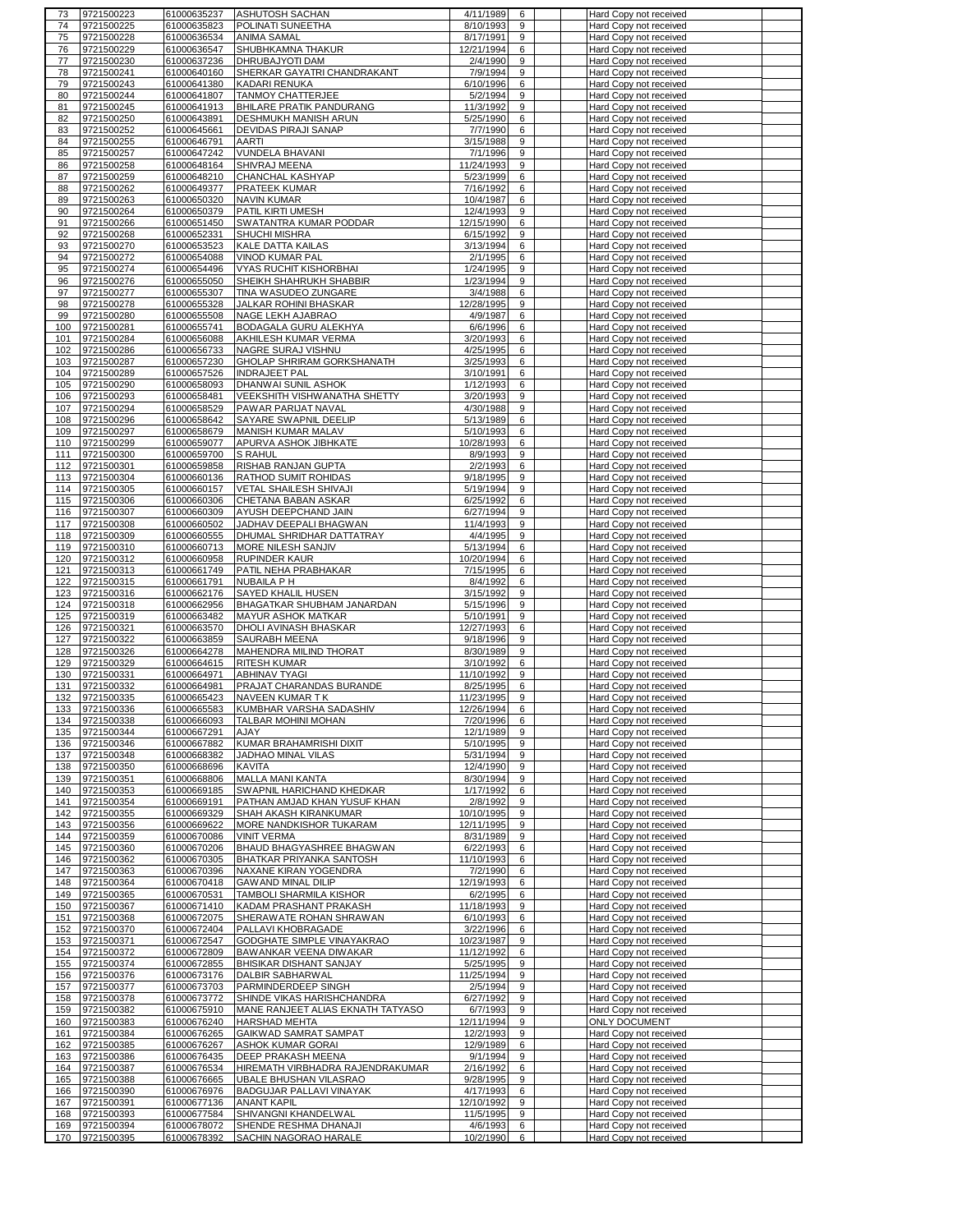|            | 9721500223               | 61000635237                | <b>ASHUTOSH SACHAN</b>                         | 4/11/1989             | 6      | Hard Copy not received                           |  |
|------------|--------------------------|----------------------------|------------------------------------------------|-----------------------|--------|--------------------------------------------------|--|
| 74         | 9721500225               | 61000635823                | POLINATI SUNEETHA                              | 8/10/1993             | 9      | Hard Copy not received                           |  |
| 75         | 9721500228               | 61000636534                | ANIMA SAMAL                                    | 8/17/1991             | 9      | Hard Copy not received                           |  |
| 76         | 9721500229               | 61000636547                | SHUBHKAMNA THAKUR                              | 12/21/1994            | 6      | Hard Copy not received                           |  |
| 77         | 9721500230               | 61000637236                | DHRUBAJYOTI DAM                                | 2/4/1990              | 9      |                                                  |  |
|            |                          |                            |                                                |                       |        | Hard Copy not received                           |  |
| 78         | 9721500241               | 61000640160                | SHERKAR GAYATRI CHANDRAKANT                    | 7/9/1994              | 9      | Hard Copy not received                           |  |
| 79         | 9721500243               | 61000641380                | KADARI RENUKA                                  | 6/10/1996             | 6      | Hard Copy not received                           |  |
| 80         | 9721500244               | 61000641807                | <b>TANMOY CHATTERJEE</b>                       | 5/2/1994              | 9      | Hard Copy not received                           |  |
| 81         | 9721500245               | 61000641913                | <b>BHILARE PRATIK PANDURANG</b>                | 11/3/1992             | 9      | Hard Copy not received                           |  |
| 82         | 9721500250               | 61000643891                | DESHMUKH MANISH ARUN                           | 5/25/1990             | 6      | Hard Copy not received                           |  |
| 83         | 9721500252               | 61000645661                | DEVIDAS PIRAJI SANAP                           | 7/7/1990              | 6      | <b>Hard Copy not received</b>                    |  |
|            |                          |                            |                                                |                       | 9      |                                                  |  |
| 84         | 9721500255               | 61000646791                | AARTI                                          | 3/15/1988             |        | Hard Copy not received                           |  |
| 85         | 9721500257               | 61000647242                | VUNDELA BHAVANI                                | 7/1/1996              | 9      | Hard Copy not received                           |  |
| 86         | 9721500258               | 61000648164                | <b>SHIVRAJ MEENA</b>                           | 11/24/1993            | 9      | Hard Copy not received                           |  |
| 87         | 9721500259               | 61000648210                | CHANCHAL KASHYAP                               | 5/23/1999             | 6      | Hard Copy not received                           |  |
| 88         | 9721500262               | 61000649377                | PRATEEK KUMAR                                  | 7/16/1992             | 6      | Hard Copy not received                           |  |
| 89         | 9721500263               | 61000650320                | <b>NAVIN KUMAR</b>                             | 10/4/1987             | 6      | Hard Copy not received                           |  |
| 90         | 9721500264               | 61000650379                | PATIL KIRTI UMESH                              | 12/4/1993             | 9      | Hard Copy not received                           |  |
|            | 9721500266               | 61000651450                | SWATANTRA KUMAR PODDAR                         | 12/15/1990            | 6      | Hard Copy not received                           |  |
| 91         |                          |                            |                                                |                       |        |                                                  |  |
| 92         | 9721500268               | 61000652331                | <b>SHUCHI MISHRA</b>                           | 6/15/1992             | 9      | Hard Copy not received                           |  |
| 93         | 9721500270               | 61000653523                | <b>KALE DATTA KAILAS</b>                       | 3/13/1994             | 6      | Hard Copy not received                           |  |
| 94         | 9721500272               | 61000654088                | VINOD KUMAR PAL                                | 2/1/1995              | 6      | Hard Copy not received                           |  |
| 95         | 9721500274               | 61000654496                | <b>VYAS RUCHIT KISHORBHAI</b>                  | 1/24/1995             | 9      | Hard Copy not received                           |  |
| 96         | 9721500276               | 61000655050                | SHEIKH SHAHRUKH SHABBIR                        | 1/23/1994             | 9      | Hard Copy not received                           |  |
| 97         | 9721500277               | 61000655307                | TINA WASUDEO ZUNGARE                           | 3/4/1988              | 6      | Hard Copy not received                           |  |
| 98         | 9721500278               | 61000655328                | JALKAR ROHINI BHASKAR                          | 12/28/1995            | 9      | Hard Copy not received                           |  |
|            |                          |                            |                                                |                       |        |                                                  |  |
| 99         | 9721500280               | 61000655508                | NAGE LEKH AJABRAO                              | 4/9/1987              | 6      | Hard Copy not received                           |  |
| 100        | 9721500281               | 61000655741                | BODAGALA GURU ALEKHYA                          | 6/6/1996              | 6      | Hard Copy not received                           |  |
| 101        | 9721500284               | 61000656088                | AKHILESH KUMAR VERMA                           | 3/20/1993             | 6      | Hard Copy not received                           |  |
| 102        | 9721500286               | 61000656733                | NAGRE SURAJ VISHNU                             | 4/25/1995             | 6      | Hard Copy not received                           |  |
| 103        | 9721500287               | 61000657230                | GHOLAP SHRIRAM GORKSHANATH                     | 3/25/1993             | 6      | Hard Copy not received                           |  |
| 104        | 9721500289               | 61000657526                | <b>INDRAJEET PAL</b>                           | 3/10/1991             | 6      | Hard Copy not received                           |  |
| 105        | 9721500290               | 61000658093                | DHANWAI SUNIL ASHOK                            | 1/12/1993             | 6      | Hard Copy not received                           |  |
|            |                          |                            |                                                |                       |        |                                                  |  |
| 106        | 9721500293               | 61000658481                | VEEKSHITH VISHWANATHA SHETTY                   | 3/20/1993             | 9      | Hard Copy not received                           |  |
| 107        | 9721500294               | 61000658529                | PAWAR PARIJAT NAVAL                            | 4/30/1988             | 9      | Hard Copy not received                           |  |
| 108        | 9721500296               | 61000658642                | SAYARE SWAPNIL DEELIP                          | 5/13/1989             | 6      | Hard Copy not received                           |  |
| 109        | 9721500297               | 61000658679                | MANISH KUMAR MALAV                             | 5/10/1993             | 6      | Hard Copy not received                           |  |
| 110        | 9721500299               | 61000659077                | APURVA ASHOK JIBHKATE                          | 10/28/1993            | 6      | Hard Copy not received                           |  |
| 111        | 9721500300               | 61000659700                | <b>S RAHUL</b>                                 | 8/9/1993              | 9      | Hard Copy not received                           |  |
|            |                          |                            |                                                |                       |        |                                                  |  |
| 112        | 9721500301               | 61000659858                | RISHAB RANJAN GUPTA                            | 2/2/1993              | 6      | Hard Copy not received                           |  |
| 113        | 9721500304               | 61000660136                | RATHOD SUMIT ROHIDAS                           | 9/18/1995             | 9      | Hard Copy not received                           |  |
| 114        | 9721500305               | 61000660157                | VETAL SHAILESH SHIVAJI                         | 5/19/1994             | 9      | Hard Copy not received                           |  |
| 115        | 9721500306               | 61000660306                | CHETANA BABAN ASKAR                            | 6/25/1992             | 6      | Hard Copy not received                           |  |
| 116        | 9721500307               | 61000660309                | AYUSH DEEPCHAND JAIN                           | 6/27/1994             | 9      | Hard Copy not received                           |  |
| 117        | 9721500308               | 61000660502                | JADHAV DEEPALI BHAGWAN                         | 11/4/1993             | 9      | Hard Copy not received                           |  |
| 118        | 9721500309               | 61000660555                | DHUMAL SHRIDHAR DATTATRAY                      | 4/4/1995              | 9      | Hard Copy not received                           |  |
|            |                          |                            |                                                |                       |        |                                                  |  |
| 119        | 9721500310               | 61000660713                | MORE NILESH SANJIV                             | 5/13/1994             | 6      | Hard Copy not received                           |  |
| 120        | 9721500312               | 61000660958                | <b>RUPINDER KAUR</b>                           | 10/20/1994            | 6      | Hard Copy not received                           |  |
| 121        | 9721500313               | 61000661749                | PATIL NEHA PRABHAKAR                           | 7/15/1995             | 6      | Hard Copy not received                           |  |
| 122        | 9721500315               | 61000661791                | NUBAILA P H                                    | 8/4/1992              | 6      | Hard Copy not received                           |  |
| 123        | 9721500316               |                            | SAYED KHALIL HUSEN                             |                       |        | Hard Copy not received                           |  |
|            |                          |                            |                                                |                       |        |                                                  |  |
|            |                          | 61000662176                |                                                | 3/15/1992             | 9      |                                                  |  |
| 124        | 9721500318               | 61000662956                | BHAGATKAR SHUBHAM JANARDAN                     | 5/15/1996             | 9      | Hard Copy not received                           |  |
| 125        | 9721500319               | 61000663482                | MAYUR ASHOK MATKAR                             | 5/10/1991             | 9      | Hard Copy not received                           |  |
| 126        | 9721500321               | 61000663570                | DHOLI AVINASH BHASKAR                          | 12/27/1993            | 6      | Hard Copy not received                           |  |
| 127        | 9721500322               | 61000663859                | SAURABH MEENA                                  | 9/18/1996             | 9      | Hard Copy not received                           |  |
| 128        | 9721500326               | 61000664278                | MAHENDRA MILIND THORAT                         | 8/30/1989             | 9      | Hard Copy not received                           |  |
| 129        | 9721500329               | 61000664615                | <b>RITESH KUMAR</b>                            | 3/10/1992             | 6      | Hard Copy not received                           |  |
|            |                          |                            |                                                |                       |        |                                                  |  |
| 130        | 9721500331               | 61000664971                | <b>ABHINAV TYAGI</b>                           | 11/10/1992            | 9      | Hard Copy not received                           |  |
| 131        | 9721500332               | 61000664981                | PRAJAT CHARANDAS BURANDE                       | 8/25/1995             | 6      | Hard Copy not received                           |  |
| 132        | 9721500335               | 61000665423                | NAVEEN KUMAR TK                                | 11/23/1995            | 9      | Hard Copy not received                           |  |
| 133        | 9721500336               | 61000665583                | KUMBHAR VARSHA SADASHIV                        | 12/26/1994            | 6      | Hard Copy not received                           |  |
| 134        | 9721500338               | 61000666093                | TALBAR MOHINI MOHAN                            | 7/20/1996             | 6      | Hard Copy not received                           |  |
| 135        | 9721500344               | 61000667291                | AJAY                                           | 12/1/1989             | 9      | Hard Copy not received                           |  |
| 136        | 9721500346               | 61000667882                | KUMAR BRAHAMRISHI DIXIT                        | 5/10/1995             | 9      | Hard Copy not received                           |  |
|            | 9721500348               | 61000668382                | JADHAO MINAL VILAS                             |                       | 9      |                                                  |  |
| 137        |                          |                            |                                                | 5/31/1994             |        | Hard Copy not received                           |  |
| 138        | 9721500350               | 61000668696                | <b>KAVITA</b>                                  | 12/4/1990             | 9      | Hard Copy not received                           |  |
| 139        | 9721500351               | 61000668806                | <b>MALLA MANI KANTA</b>                        | 8/30/1994             | 9      | Hard Copy not received                           |  |
| 140        | 9721500353               | 61000669185                | SWAPNIL HARICHAND KHEDKAR                      | 1/17/1992             | 6      | Hard Copy not received                           |  |
| 141        | 9721500354               | 61000669191                | PATHAN AMJAD KHAN YUSUF KHAN                   | 2/8/1992              | 9      | Hard Copy not received                           |  |
| 142        | 9721500355               | 61000669329                | SHAH AKASH KIRANKUMAR                          | 10/10/1995            | 9      | Hard Copy not received                           |  |
| 143        | 9721500356               | 61000669622                | MORE NANDKISHOR TUKARAM                        | 12/11/1995            | 9      | Hard Copy not received                           |  |
| 144        | 9721500359               | 61000670086                | <b>VINIT VERMA</b>                             | 8/31/1989             | 9      | Hard Copy not received                           |  |
| 145        | 9721500360               | 61000670206                | BHAUD BHAGYASHREE BHAGWAN                      | 6/22/1993             | 6      | Hard Copy not received                           |  |
|            |                          |                            |                                                |                       |        |                                                  |  |
| 146        | 9721500362               | 61000670305                | BHATKAR PRIYANKA SANTOSH                       | 11/10/1993            | 6      | Hard Copy not received                           |  |
| 147        | 9721500363               | 61000670396                | NAXANE KIRAN YOGENDRA                          | 7/2/1990              | 6      | Hard Copy not received                           |  |
| 148        | 9721500364               | 61000670418                | <b>GAWAND MINAL DILIP</b>                      | 12/19/1993            | 6      | Hard Copy not received                           |  |
| 149        | 9721500365               | 61000670531                | TAMBOLI SHARMILA KISHOR                        | 6/2/1995              | 6      | Hard Copy not received                           |  |
| 150        | 9721500367               | 61000671410                | KADAM PRASHANT PRAKASH                         | 11/18/1993            | 9      | Hard Copy not received                           |  |
| 151        | 9721500368               | 61000672075                | SHERAWATE ROHAN SHRAWAN                        | 6/10/1993             | 6      | Hard Copy not received                           |  |
| 152        | 9721500370               | 61000672404                | PALLAVI KHOBRAGADE                             | 3/22/1996             | 6      | Hard Copy not received                           |  |
| 153        |                          | 61000672547                |                                                |                       | 9      |                                                  |  |
|            | 9721500371               |                            | GODGHATE SIMPLE VINAYAKRAO                     | 10/23/1987            |        | Hard Copy not received                           |  |
| 154        | 9721500372               | 61000672809                | BAWANKAR VEENA DIWAKAR                         | 11/12/1992            | 6      | Hard Copy not received                           |  |
| 155        | 9721500374               | 61000672855                | BHISIKAR DISHANT SANJAY                        | 5/25/1995             | 9      | <b>Hard Copy not received</b>                    |  |
| 156        | 9721500376               | 61000673176                | DALBIR SABHARWAL                               | 11/25/1994            | 9      | Hard Copy not received                           |  |
| 157        | 9721500377               | 61000673703                | PARMINDERDEEP SINGH                            | 2/5/1994              | 9      | Hard Copy not received                           |  |
| 158        | 9721500378               | 61000673772                | SHINDE VIKAS HARISHCHANDRA                     | 6/27/1992             | 9      | Hard Copy not received                           |  |
| 159        | 9721500382               | 61000675910                | MANE RANJEET ALIAS EKNATH TATYASO              | 6/7/1993              | 9      | Hard Copy not received                           |  |
| 160        | 9721500383               | 61000676240                | HARSHAD MEHTA                                  | 12/11/1994            | 9      | <b>ONLY DOCUMENT</b>                             |  |
|            |                          |                            |                                                |                       |        |                                                  |  |
| 161        | 9721500384               | 61000676265                | GAIKWAD SAMRAT SAMPAT                          | 12/2/1993             | 9      | Hard Copy not received                           |  |
| 162        | 9721500385               | 61000676267                | ASHOK KUMAR GORAI                              | 12/9/1989             | 6      | Hard Copy not received                           |  |
| 163        | 9721500386               | 61000676435                | DEEP PRAKASH MEENA                             | 9/1/1994              | 9      | Hard Copy not received                           |  |
| 164        | 9721500387               | 61000676534                | HIREMATH VIRBHADRA RAJENDRAKUMAR               | 2/16/1992             | 6      | Hard Copy not received                           |  |
| 165        | 9721500388               | 61000676665                | UBALE BHUSHAN VILASRAO                         | 9/28/1995             | 9      | Hard Copy not received                           |  |
| 166        | 9721500390               | 61000676976                | BADGUJAR PALLAVI VINAYAK                       | 4/17/1993             | 6      | Hard Copy not received                           |  |
|            |                          |                            |                                                |                       |        |                                                  |  |
| 167        | 9721500391               | 61000677136                | <b>ANANT KAPIL</b>                             | 12/10/1992            | 9      | Hard Copy not received                           |  |
| 168        | 9721500393               | 61000677584                | SHIVANGNI KHANDELWAL                           | 11/5/1995             | 9      | Hard Copy not received                           |  |
| 169<br>170 | 9721500394<br>9721500395 | 61000678072<br>61000678392 | SHENDE RESHMA DHANAJI<br>SACHIN NAGORAO HARALE | 4/6/1993<br>10/2/1990 | 6<br>6 | Hard Copy not received<br>Hard Copy not received |  |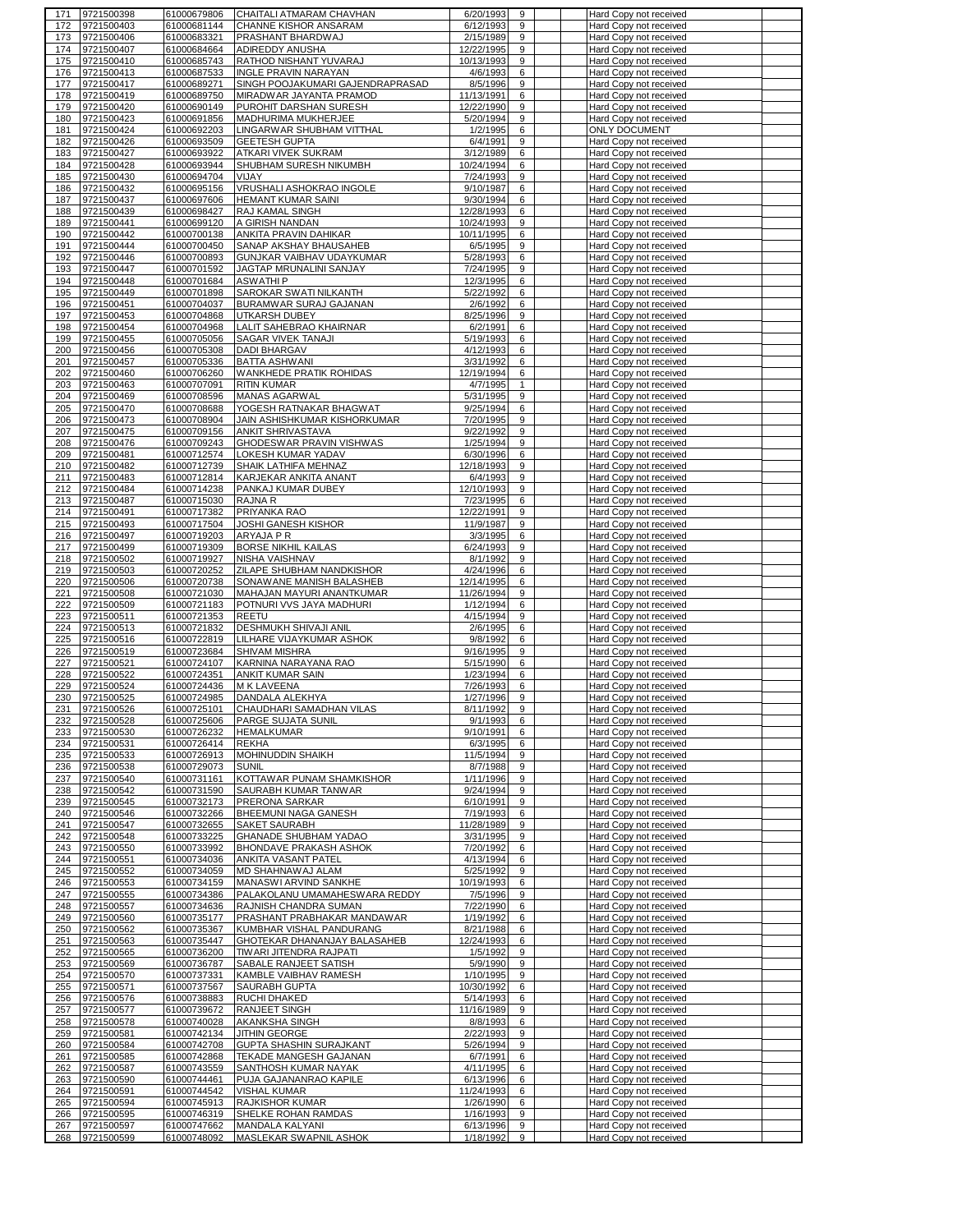| 171        | 9721500398               | 61000679806                | CHAITALI ATMARAM CHAVHAN                          | 6/20/1993                | 9            | Hard Copy not received                           |  |
|------------|--------------------------|----------------------------|---------------------------------------------------|--------------------------|--------------|--------------------------------------------------|--|
| 172        | 9721500403               | 61000681144                | CHANNE KISHOR ANSARAM                             | 6/12/1993                | 9            | Hard Copy not received                           |  |
| 173        | 9721500406               | 61000683321                | PRASHANT BHARDWAJ                                 | 2/15/1989                | 9            | Hard Copy not received                           |  |
| 174        | 9721500407               | 61000684664                | ADIREDDY ANUSHA                                   | 12/22/1995               | 9            | Hard Copy not received                           |  |
| 175        | 9721500410               | 61000685743                | RATHOD NISHANT YUVARAJ                            | 10/13/1993               | 9            | Hard Copy not received                           |  |
| 176        | 9721500413               | 61000687533                | <b>INGLE PRAVIN NARAYAN</b>                       | 4/6/1993                 | 6            | Hard Copy not received                           |  |
| 177        | 9721500417               | 61000689271                | SINGH POOJAKUMARI GAJENDRAPRASAD                  | 8/5/1996                 | 9            | Hard Copy not received                           |  |
| 178<br>179 | 9721500419<br>9721500420 | 61000689750<br>61000690149 | MIRADWAR JAYANTA PRAMOD<br>PUROHIT DARSHAN SURESH | 11/13/1991<br>12/22/1990 | 6<br>9       | Hard Copy not received<br>Hard Copy not received |  |
| 180        | 9721500423               | 61000691856                | MADHURIMA MUKHERJEE                               | 5/20/1994                | 9            | Hard Copy not received                           |  |
| 181        | 9721500424               | 61000692203                | LINGARWAR SHUBHAM VITTHAL                         | 1/2/1995                 | 6            | <b>ONLY DOCUMENT</b>                             |  |
| 182        | 9721500426               | 61000693509                | <b>GEETESH GUPTA</b>                              | 6/4/1991                 | 9            | Hard Copy not received                           |  |
| 183        | 9721500427               | 61000693922                | ATKARI VIVEK SUKRAM                               | 3/12/1989                | 6            | Hard Copy not received                           |  |
| 184        | 9721500428               | 61000693944                | SHUBHAM SURESH NIKUMBH                            | 10/24/1994               | 6            | Hard Copy not received                           |  |
| 185        | 9721500430               | 61000694704                | VIJAY                                             | 7/24/1993                | 9            | Hard Copy not received                           |  |
| 186        | 9721500432               | 61000695156                | VRUSHALI ASHOKRAO INGOLE                          | 9/10/1987                | 6            | Hard Copy not received                           |  |
| 187        | 9721500437               | 61000697606                | <b>HEMANT KUMAR SAINI</b>                         | 9/30/1994                | 6            | Hard Copy not received                           |  |
| 188        | 9721500439               | 61000698427                | RAJ KAMAL SINGH                                   | 12/28/1993               | 6            | Hard Copy not received                           |  |
| 189        | 9721500441               | 61000699120                | A GIRISH NANDAN                                   | 10/24/1993               | 9            | Hard Copy not received                           |  |
| 190        | 9721500442               | 61000700138                | ANKITA PRAVIN DAHIKAR                             | 10/11/1995               | 6            | Hard Copy not received                           |  |
| 191        | 9721500444               | 61000700450                | SANAP AKSHAY BHAUSAHEB                            | 6/5/1995                 | 9            | Hard Copy not received                           |  |
| 192        | 9721500446               | 61000700893                | GUNJKAR VAIBHAV UDAYKUMAR                         | 5/28/1993                | 6            | Hard Copy not received                           |  |
| 193        | 9721500447               | 61000701592                | JAGTAP MRUNALINI SANJAY                           | 7/24/1995                | 9            | Hard Copy not received                           |  |
| 194        | 9721500448               | 61000701684                | <b>ASWATHIP</b>                                   | 12/3/1995                | 6            | Hard Copy not received                           |  |
| 195        | 9721500449               | 61000701898                | SAROKAR SWATI NILKANTH                            | 5/22/1992                | 6            | Hard Copy not received                           |  |
| 196        | 9721500451               | 61000704037                | BURAMWAR SURAJ GAJANAN                            | 2/6/1992                 | 6            | Hard Copy not received                           |  |
| 197        | 9721500453               | 61000704868                | UTKARSH DUBEY                                     | 8/25/1996                | 9            | Hard Copy not received                           |  |
| 198        | 9721500454               | 61000704968                | LALIT SAHEBRAO KHAIRNAR                           | 6/2/1991                 | 6            | Hard Copy not received                           |  |
| 199        | 9721500455               | 61000705056                | SAGAR VIVEK TANAJI                                | 5/19/1993                | 6            | Hard Copy not received                           |  |
| 200        | 9721500456               | 61000705308                | DADI BHARGAV                                      | 4/12/1993                | 6            | Hard Copy not received                           |  |
| 201        | 9721500457               | 61000705336                | <b>BATTA ASHWANI</b>                              | 3/31/1992                | 6            | Hard Copy not received                           |  |
| 202        | 9721500460               | 61000706260                | WANKHEDE PRATIK ROHIDAS                           | 12/19/1994               | 6            | Hard Copy not received                           |  |
| 203        | 9721500463               | 61000707091                | <b>RITIN KUMAR</b>                                | 4/7/1995                 | $\mathbf{1}$ | Hard Copy not received                           |  |
| 204        | 9721500469               | 61000708596                | <b>MANAS AGARWAL</b>                              | 5/31/1995                | 9            | Hard Copy not received                           |  |
| 205        | 9721500470               | 61000708688                | YOGESH RATNAKAR BHAGWAT                           | 9/25/1994                | 6            | Hard Copy not received                           |  |
| 206        | 9721500473               | 61000708904                | JAIN ASHISHKUMAR KISHORKUMAR                      | 7/20/1995                | 9            | Hard Copy not received                           |  |
| 207        | 9721500475               | 61000709156                | <b>ANKIT SHRIVASTAVA</b>                          | 9/22/1992                | 9            | Hard Copy not received                           |  |
| 208        | 9721500476               | 61000709243                | GHODESWAR PRAVIN VISHWAS                          | 1/25/1994                | 9            | Hard Copy not received                           |  |
| 209        | 9721500481               | 61000712574                | LOKESH KUMAR YADAV                                | 6/30/1996                | 6            | Hard Copy not received                           |  |
| 210        | 9721500482               | 61000712739                | SHAIK LATHIFA MEHNAZ                              | 12/18/1993               | 9            | Hard Copy not received                           |  |
| 211        | 9721500483               | 61000712814                | KARJEKAR ANKITA ANANT                             | 6/4/1993                 | 9            | Hard Copy not received                           |  |
| 212        | 9721500484               | 61000714238                | PANKAJ KUMAR DUBEY                                | 12/10/1993               | 9            | Hard Copy not received                           |  |
| 213        | 9721500487               | 61000715030                | RAJNA R                                           | 7/23/1995                | 6            | Hard Copy not received                           |  |
| 214        | 9721500491               | 61000717382                | PRIYANKA RAO                                      | 12/22/1991               | 9            | Hard Copy not received                           |  |
| 215        | 9721500493               | 61000717504                | <b>JOSHI GANESH KISHOR</b>                        | 11/9/1987                | 9            | Hard Copy not received                           |  |
| 216        | 9721500497               | 61000719203                | ARYAJA P R                                        | 3/3/1995                 | 6            | Hard Copy not received                           |  |
| 217        | 9721500499               | 61000719309                | <b>BORSE NIKHIL KAILAS</b>                        | 6/24/1993                | 9            | Hard Copy not received                           |  |
| 218        | 9721500502               | 61000719927                | NISHA VAISHNAV                                    | 8/1/1992                 | 9            | Hard Copy not received                           |  |
| 219        | 9721500503               | 61000720252                | ZILAPE SHUBHAM NANDKISHOR                         | 4/24/1996                | 6            | Hard Copy not received                           |  |
| 220        | 9721500506               | 61000720738                | SONAWANE MANISH BALASHEB                          | 12/14/1995               | 6            | Hard Copy not received                           |  |
| 221        | 9721500508               | 61000721030                | MAHAJAN MAYURI ANANTKUMAR                         | 11/26/1994               | 9            | Hard Copy not received                           |  |
| 222        | 9721500509               | 61000721183                | POTNURI VVS JAYA MADHURI                          | 1/12/1994                | 6            | Hard Copy not received                           |  |
| 223        | 9721500511               | 61000721353                | <b>REETU</b>                                      | 4/15/1994                | 9            | Hard Copy not received                           |  |
| 224        | 9721500513               | 61000721832                | DESHMUKH SHIVAJI ANIL                             | 2/6/1995                 | 6            | Hard Copy not received                           |  |
| 225        | 9721500516               | 61000722819                | LILHARE VIJAYKUMAR ASHOK                          | 9/8/1992                 | 6            | Hard Copy not received                           |  |
| 226        | 9721500519               | 61000723684                | SHIVAM MISHRA                                     | 9/16/1995                | 9            | Hard Copy not received                           |  |
| 227        | 9721500521               | 61000724107                | KARNINA NARAYANA RAO                              | 5/15/1990                | 6            | Hard Copy not received                           |  |
| 228        | 9721500522               | 61000724351                | <b>ANKIT KUMAR SAIN</b>                           | 1/23/1994                | 6            | Hard Copy not received                           |  |
| 229        | 9721500524               | 61000724436                | M K LAVEENA                                       | 7/26/1993                | 6            | Hard Copy not received                           |  |
| 230        | 9721500525               | 61000724985                | DANDALA ALEKHYA                                   | 1/27/1996                | 9            | Hard Copy not received                           |  |
| 231        | 9721500526               | 61000725101                | CHAUDHARI SAMADHAN VILAS                          | 8/11/19921               | 9.           | Hard Copy not received                           |  |
| 232        | 9721500528               | 61000725606                | <b>PARGE SUJATA SUNIL</b>                         | 9/1/1993                 | 6            | Hard Copy not received                           |  |
| 233        | 9721500530               | 61000726232                | <b>HEMALKUMAR</b>                                 | 9/10/1991                | 6            | Hard Copy not received                           |  |
| 234        | 9721500531               | 61000726414                | <b>REKHA</b>                                      | 6/3/1995                 | 6            | Hard Copy not received                           |  |
| 235        | 9721500533               | 61000726913                | MOHINUDDIN SHAIKH                                 | 11/5/1994                | 9            | Hard Copy not received                           |  |
| 236        | 9721500538               | 61000729073                | <b>SUNIL</b>                                      | 8/7/1988                 | 9            | Hard Copy not received                           |  |
| 237        | 9721500540               | 61000731161<br>61000731590 | KOTTAWAR PUNAM SHAMKISHOR<br>SAURABH KUMAR TANWAR | 1/11/1996<br>9/24/1994   | 9<br>9       | Hard Copy not received                           |  |
| 238<br>239 | 9721500542<br>9721500545 | 61000732173                | PRERONA SARKAR                                    | 6/10/1991                | 9            | Hard Copy not received<br>Hard Copy not received |  |
| 240        | 9721500546               | 61000732266                | BHEEMUNI NAGA GANESH                              | 7/19/1993                | 6            | Hard Copy not received                           |  |
| 241        | 9721500547               | 61000732655                | SAKET SAURABH                                     | 11/28/1989               | 9            | Hard Copy not received                           |  |
| 242        | 9721500548               | 61000733225                | <b>GHANADE SHUBHAM YADAO</b>                      | 3/31/1995                | 9            | Hard Copy not received                           |  |
| 243        | 9721500550               | 61000733992                | BHONDAVE PRAKASH ASHOK                            | 7/20/1992                | 6            | Hard Copy not received                           |  |
| 244        | 9721500551               | 61000734036                | ANKITA VASANT PATEL                               | 4/13/1994                | 6            | Hard Copy not received                           |  |
| 245        | 9721500552               | 61000734059                | MD SHAHNAWAJ ALAM                                 | 5/25/1992                | 9            | Hard Copy not received                           |  |
| 246        | 9721500553               | 61000734159                | MANASWI ARVIND SANKHE                             | 10/19/1993               | 6            | <b>Hard Copy not received</b>                    |  |
| 247        | 9721500555               | 61000734386                | PALAKOLANU UMAMAHESWARA REDDY                     | 7/5/1996                 | 9            | Hard Copy not received                           |  |
| 248        | 9721500557               | 61000734636                | RAJNISH CHANDRA SUMAN                             | 7/22/1990                | 6            | Hard Copy not received                           |  |
| 249        | 9721500560               | 61000735177                | PRASHANT PRABHAKAR MANDAWAR                       | 1/19/1992                | 6            | Hard Copy not received                           |  |
| 250        | 9721500562               | 61000735367                | KUMBHAR VISHAL PANDURANG                          | 8/21/1988                | 6            | Hard Copy not received                           |  |
| 251        | 9721500563               | 61000735447                | GHOTEKAR DHANANJAY BALASAHEB                      | 12/24/1993               | 6            | Hard Copy not received                           |  |
| 252        | 9721500565               | 61000736200                | TIWARI JITENDRA RAJPATI                           | 1/5/1992                 | 9            | Hard Copy not received                           |  |
| 253        | 9721500569               | 61000736787                | SABALE RANJEET SATISH                             | 5/9/1990                 | 9            | Hard Copy not received                           |  |
| 254        | 9721500570               | 61000737331                | KAMBLE VAIBHAV RAMESH                             | 1/10/1995                | 9            | Hard Copy not received                           |  |
| 255        | 9721500571               | 61000737567                | SAURABH GUPTA                                     | 10/30/1992               | 6            | Hard Copy not received                           |  |
| 256        | 9721500576               | 61000738883                | RUCHI DHAKED                                      | 5/14/1993                | 6            | Hard Copy not received                           |  |
| 257        | 9721500577               | 61000739672                | RANJEET SINGH                                     | 11/16/1989               | 9            | Hard Copy not received                           |  |
| 258        | 9721500578               | 61000740028                | AKANKSHA SINGH                                    | 8/8/1993                 | 6            | Hard Copy not received                           |  |
| 259        | 9721500581               | 61000742134                | JITHIN GEORGE                                     | 2/22/1993                | 9            | Hard Copy not received                           |  |
| 260        | 9721500584               | 61000742708                | <b>GUPTA SHASHIN SURAJKANT</b>                    | 5/26/1994                | 9            | Hard Copy not received                           |  |
| 261        | 9721500585               | 61000742868                | TEKADE MANGESH GAJANAN                            | 6/7/1991                 | 6            | Hard Copy not received                           |  |
| 262        |                          | 61000743559                | SANTHOSH KUMAR NAYAK                              | 4/11/1995                | 6            | Hard Copy not received                           |  |
|            | 9721500587               |                            |                                                   |                          |              |                                                  |  |
| 263        | 9721500590               | 61000744461                | PUJA GAJANANRAO KAPILE                            | 6/13/1996                | 6            | Hard Copy not received                           |  |
| 264        | 9721500591               | 61000744542                | VISHAL KUMAR                                      | 11/24/1993               | 6            | Hard Copy not received                           |  |
| 265        | 9721500594               | 61000745913                | RAJKISHOR KUMAR                                   | 1/26/1990                | 6            | Hard Copy not received                           |  |
| 266        | 9721500595               | 61000746319                | SHELKE ROHAN RAMDAS                               | 1/16/1993                | 9            | Hard Copy not received                           |  |
| 267<br>268 | 9721500597<br>9721500599 | 61000747662<br>61000748092 | MANDALA KALYANI<br>MASLEKAR SWAPNIL ASHOK         | 6/13/1996<br>1/18/1992   | 9<br>9       | Hard Copy not received<br>Hard Copy not received |  |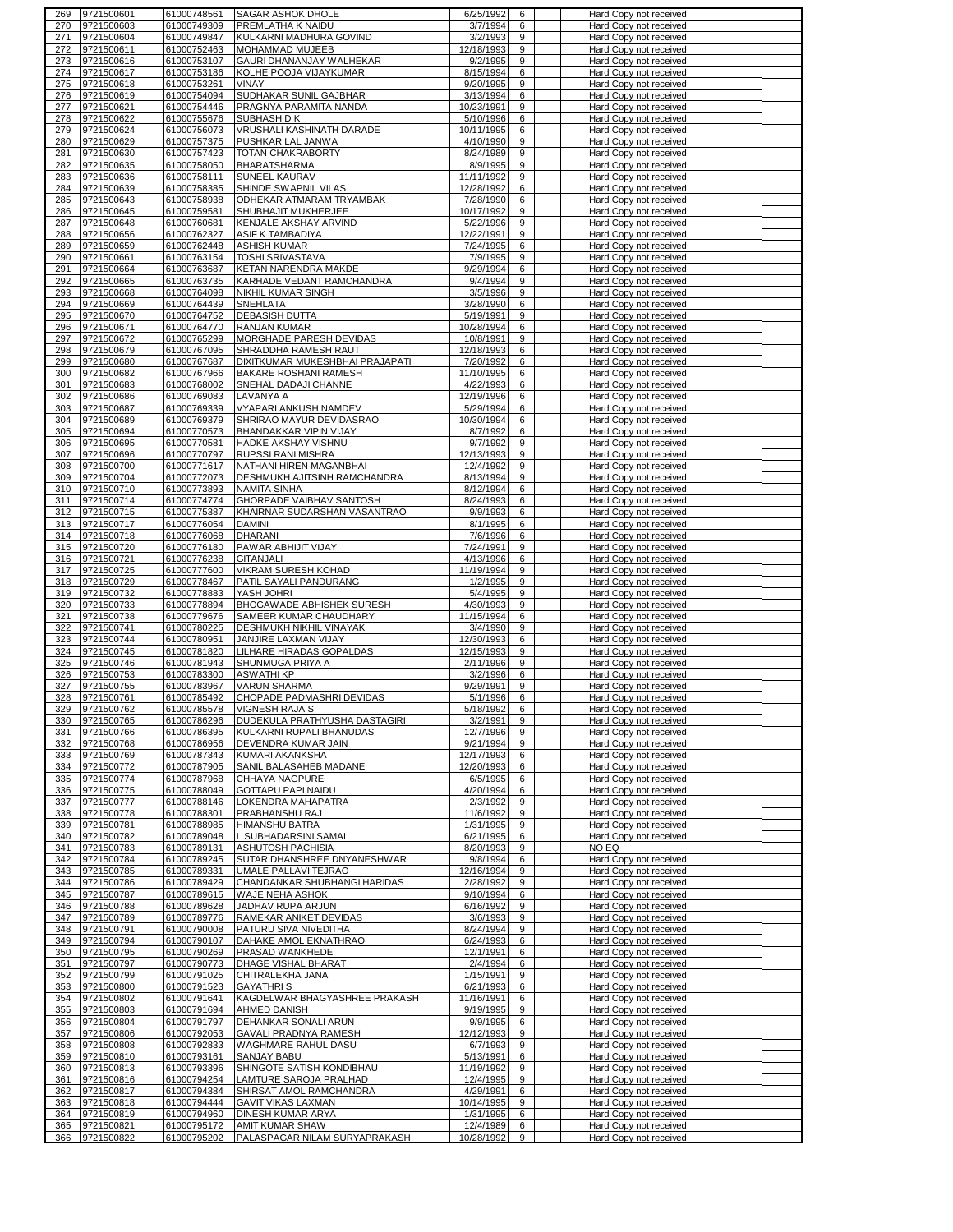|     | 9721500601 | 61000748561 | SAGAR ASHOK DHOLE                                | 6/25/1992  | 6 | Hard Copy not received        |  |
|-----|------------|-------------|--------------------------------------------------|------------|---|-------------------------------|--|
| 270 | 9721500603 | 61000749309 | PREMLATHA K NAIDU                                | 3/7/1994   | 6 | Hard Copy not received        |  |
| 271 | 9721500604 | 61000749847 | KULKARNI MADHURA GOVIND                          | 3/2/1993   | 9 | Hard Copy not received        |  |
| 272 | 9721500611 | 61000752463 | MOHAMMAD MUJEEB                                  | 12/18/1993 | 9 | Hard Copy not received        |  |
| 273 | 9721500616 | 61000753107 | GAURI DHANANJAY WALHEKAR                         | 9/2/1995   | 9 | <b>Hard Copy not received</b> |  |
| 274 | 9721500617 | 61000753186 | KOLHE POOJA VIJAYKUMAR                           | 8/15/1994  | 6 |                               |  |
|     |            |             |                                                  |            |   | <b>Hard Copy not received</b> |  |
| 275 | 9721500618 | 61000753261 | VINAY                                            | 9/20/1995  | 9 | Hard Copy not received        |  |
| 276 | 9721500619 | 61000754094 | SUDHAKAR SUNIL GAJBHAR                           | 3/13/1994  | 6 | Hard Copy not received        |  |
| 277 | 9721500621 | 61000754446 | PRAGNYA PARAMITA NANDA                           | 10/23/1991 | 9 | Hard Copy not received        |  |
| 278 | 9721500622 | 61000755676 | SUBHASH D K                                      | 5/10/1996  | 6 | Hard Copy not received        |  |
| 279 | 9721500624 | 61000756073 | VRUSHALI KASHINATH DARADE                        | 10/11/1995 | 6 | <b>Hard Copy not received</b> |  |
| 280 | 9721500629 | 61000757375 | PUSHKAR LAL JANWA                                | 4/10/1990  | 9 | Hard Copy not received        |  |
| 281 | 9721500630 | 61000757423 | TOTAN CHAKRABORTY                                | 8/24/1989  | 9 |                               |  |
|     |            |             |                                                  |            |   | Hard Copy not received        |  |
| 282 | 9721500635 | 61000758050 | <b>BHARATSHARMA</b>                              | 8/9/1995   | 9 | Hard Copy not received        |  |
| 283 | 9721500636 | 61000758111 | SUNEEL KAURAV                                    | 11/11/1992 | 9 | Hard Copy not received        |  |
| 284 | 9721500639 | 61000758385 | SHINDE SWAPNIL VILAS                             | 12/28/1992 | 6 | Hard Copy not received        |  |
| 285 | 9721500643 | 61000758938 | ODHEKAR ATMARAM TRYAMBAK                         | 7/28/1990  | 6 | Hard Copy not received        |  |
| 286 | 9721500645 | 61000759581 | SHUBHAJIT MUKHERJEE                              | 10/17/1992 | 9 | Hard Copy not received        |  |
| 287 | 9721500648 | 61000760681 | KENJALE AKSHAY ARVIND                            | 5/22/1996  | 9 | Hard Copy not received        |  |
| 288 | 9721500656 | 61000762327 | <b>ASIF K TAMBADIYA</b>                          | 12/22/1991 | 9 | Hard Copy not received        |  |
|     |            |             |                                                  |            |   |                               |  |
| 289 | 9721500659 | 61000762448 | <b>ASHISH KUMAR</b>                              | 7/24/1995  | 6 | Hard Copy not received        |  |
| 290 | 9721500661 | 61000763154 | <b>TOSHI SRIVASTAVA</b>                          | 7/9/1995   | 9 | Hard Copy not received        |  |
| 291 | 9721500664 | 61000763687 | KETAN NARENDRA MAKDE                             | 9/29/1994  | 6 | Hard Copy not received        |  |
| 292 | 9721500665 | 61000763735 | KARHADE VEDANT RAMCHANDRA                        | 9/4/1994   | 9 | Hard Copy not received        |  |
| 293 | 9721500668 | 61000764098 | NIKHIL KUMAR SINGH                               | 3/5/1996   | 9 | Hard Copy not received        |  |
| 294 | 9721500669 | 61000764439 | SNEHLATA                                         | 3/28/1990  | 6 | Hard Copy not received        |  |
|     |            |             |                                                  |            | 9 |                               |  |
| 295 | 9721500670 | 61000764752 | DEBASISH DUTTA                                   | 5/19/1991  |   | Hard Copy not received        |  |
| 296 | 9721500671 | 61000764770 | <b>RANJAN KUMAR</b>                              | 10/28/1994 | 6 | Hard Copy not received        |  |
| 297 | 9721500672 | 61000765299 | MORGHADE PARESH DEVIDAS                          | 10/8/1991  | 9 | Hard Copy not received        |  |
| 298 | 9721500679 | 61000767095 | SHRADDHA RAMESH RAUT                             | 12/18/1993 | 6 | Hard Copy not received        |  |
| 299 | 9721500680 | 61000767687 | DIXITKUMAR MUKESHBHAI PRAJAPATI                  | 7/20/1992  | 6 | <b>Hard Copy not received</b> |  |
| 300 | 9721500682 | 61000767966 | BAKARE ROSHANI RAMESH                            | 11/10/1995 | 6 | Hard Copy not received        |  |
|     |            | 61000768002 |                                                  | 4/22/1993  | 6 |                               |  |
| 301 | 9721500683 |             | SNEHAL DADAJI CHANNE                             |            |   | Hard Copy not received        |  |
| 302 | 9721500686 | 61000769083 | LAVANYA A                                        | 12/19/1996 | 6 | Hard Copy not received        |  |
| 303 | 9721500687 | 61000769339 | VYAPARI ANKUSH NAMDEV                            | 5/29/1994  | 6 | Hard Copy not received        |  |
| 304 | 9721500689 | 61000769379 | SHRIRAO MAYUR DEVIDASRAO                         | 10/30/1994 | 6 | Hard Copy not received        |  |
| 305 | 9721500694 | 61000770573 | BHANDAKKAR VIPIN VIJAY                           | 8/7/1992   | 6 | Hard Copy not received        |  |
| 306 | 9721500695 | 61000770581 | <b>HADKE AKSHAY VISHNU</b>                       | 9/7/1992   | 9 | Hard Copy not received        |  |
| 307 | 9721500696 | 61000770797 | RUPSSI RANI MISHRA                               | 12/13/1993 | 9 | Hard Copy not received        |  |
|     |            |             |                                                  |            |   |                               |  |
| 308 | 9721500700 | 61000771617 | NATHANI HIREN MAGANBHAI                          | 12/4/1992  | 9 | Hard Copy not received        |  |
| 309 | 9721500704 | 61000772073 | DESHMUKH AJITSINH RAMCHANDRA                     | 8/13/1994  | 9 | Hard Copy not received        |  |
| 310 | 9721500710 | 61000773893 | <b>NAMITA SINHA</b>                              | 8/12/1994  | 6 | Hard Copy not received        |  |
| 311 | 9721500714 | 61000774774 | GHORPADE VAIBHAV SANTOSH                         | 8/24/1993  | 6 | Hard Copy not received        |  |
| 312 | 9721500715 | 61000775387 | KHAIRNAR SUDARSHAN VASANTRAO                     | 9/9/1993   | 6 | Hard Copy not received        |  |
| 313 | 9721500717 | 61000776054 | <b>DAMINI</b>                                    | 8/1/1995   | 6 | Hard Copy not received        |  |
|     |            |             |                                                  |            |   |                               |  |
| 314 | 9721500718 | 61000776068 | <b>DHARANI</b>                                   | 7/6/1996   | 6 | Hard Copy not received        |  |
| 315 | 9721500720 | 61000776180 | PAWAR ABHIJIT VIJAY                              | 7/24/1991  | 9 | Hard Copy not received        |  |
| 316 | 9721500721 | 61000776238 | <b>GITANJALI</b>                                 | 4/13/1996  | 6 | Hard Copy not received        |  |
| 317 | 9721500725 | 61000777600 | VIKRAM SURESH KOHAD                              | 11/19/1994 | 9 | Hard Copy not received        |  |
| 318 | 9721500729 | 61000778467 | PATIL SAYALI PANDURANG                           | 1/2/1995   | 9 | Hard Copy not received        |  |
| 319 | 9721500732 | 61000778883 | YASH JOHRI                                       | 5/4/1995   | 9 | Hard Copy not received        |  |
| 320 | 9721500733 | 61000778894 | BHOGAWADE ABHISHEK SURESH                        | 4/30/1993  | 9 | Hard Copy not received        |  |
|     |            |             |                                                  |            |   |                               |  |
| 321 | 9721500738 | 61000779676 | SAMEER KUMAR CHAUDHARY                           | 11/15/1994 | 6 | Hard Copy not received        |  |
| 322 | 9721500741 | 61000780225 | <b>DESHMUKH NIKHIL VINAYAK</b>                   | 3/4/1990   | 9 | Hard Copy not received        |  |
| 323 | 9721500744 | 61000780951 | JANJIRE LAXMAN VIJAY                             | 12/30/1993 | 6 | Hard Copy not received        |  |
| 324 | 9721500745 | 61000781820 | LILHARE HIRADAS GOPALDAS                         | 12/15/1993 | 9 | Hard Copy not received        |  |
| 325 | 9721500746 | 61000781943 | SHUNMUGA PRIYA A                                 | 2/11/1996  | 9 | Hard Copy not received        |  |
| 326 | 9721500753 | 61000783300 | <b>ASWATHIKP</b>                                 | 3/2/1996   | 6 | Hard Copy not received        |  |
| 327 | 9721500755 | 61000783967 | <b>VARUN SHARMA</b>                              | 9/29/1991  | 9 |                               |  |
|     |            |             |                                                  |            |   | <b>Hard Copy not received</b> |  |
| 328 | 9721500761 | 61000785492 | CHOPADE PADMASHRI DEVIDAS                        | 5/1/1996   | 6 | Hard Copy not received        |  |
| 329 | 9721500762 | 61000785578 | <b>VIGNESH RAJA S</b>                            | 5/18/1992  | 6 | Hard Copy not received        |  |
| 330 | 9721500765 | 61000786296 | DUDEKULA PRATHYUSHA DASTAGIRI                    |            | 9 | Hard Copy not received        |  |
| 331 | 9721500766 | 61000786395 |                                                  | 3/2/1991   |   |                               |  |
| 332 | 9721500768 |             | KULKARNI RUPALI BHANUDAS                         | 12/7/1996  | 9 | Hard Copy not received        |  |
| 333 | 9721500769 |             |                                                  |            |   |                               |  |
|     |            | 61000786956 | DEVENDRA KUMAR JAIN                              | 9/21/1994  | 9 | Hard Copy not received        |  |
|     |            | 61000787343 | KUMARI AKANKSHA                                  | 12/17/1993 | 6 | Hard Copy not received        |  |
| 334 | 9721500772 | 61000787905 | SANIL BALASAHEB MADANE                           | 12/20/1993 | 6 | Hard Copy not received        |  |
| 335 | 9721500774 | 61000787968 | CHHAYA NAGPURE                                   | 6/5/1995   | 6 | Hard Copy not received        |  |
| 336 | 9721500775 | 61000788049 | <b>GOTTAPU PAPI NAIDU</b>                        | 4/20/1994  | 6 | Hard Copy not received        |  |
| 337 | 9721500777 | 61000788146 | LOKENDRA MAHAPATRA                               | 2/3/1992   | 9 | Hard Copy not received        |  |
| 338 | 9721500778 | 61000788301 | PRABHANSHU RAJ                                   | 11/6/1992  | 9 | Hard Copy not received        |  |
| 339 | 9721500781 | 61000788985 | <b>HIMANSHU BATRA</b>                            | 1/31/1995  | 9 | Hard Copy not received        |  |
|     |            |             |                                                  |            |   |                               |  |
| 340 | 9721500782 | 61000789048 | L SUBHADARSINI SAMAL                             | 6/21/1995  | 6 | Hard Copy not received        |  |
| 341 | 9721500783 | 61000789131 | ASHUTOSH PACHISIA                                | 8/20/1993  | 9 | NO EQ                         |  |
| 342 | 9721500784 | 61000789245 | SUTAR DHANSHREE DNYANESHWAR                      | 9/8/1994   | 6 | Hard Copy not received        |  |
| 343 | 9721500785 | 61000789331 | <b>UMALE PALLAVI TEJRAO</b>                      | 12/16/1994 | 9 | Hard Copy not received        |  |
| 344 | 9721500786 | 61000789429 | CHANDANKAR SHUBHANGI HARIDAS                     | 2/28/1992  | 9 | Hard Copy not received        |  |
| 345 | 9721500787 | 61000789615 | WAJE NEHA ASHOK                                  | 9/10/1994  | 6 | Hard Copy not received        |  |
|     | 9721500788 |             |                                                  |            | 9 |                               |  |
| 346 |            | 61000789628 | JADHAV RUPA ARJUN                                | 6/16/1992  |   | Hard Copy not received        |  |
| 347 | 9721500789 | 61000789776 | RAMEKAR ANIKET DEVIDAS                           | 3/6/1993   | 9 | Hard Copy not received        |  |
| 348 | 9721500791 | 61000790008 | PATURU SIVA NIVEDITHA                            | 8/24/1994  | 9 | Hard Copy not received        |  |
| 349 | 9721500794 | 61000790107 | DAHAKE AMOL EKNATHRAO                            | 6/24/1993  | 6 | Hard Copy not received        |  |
| 350 | 9721500795 | 61000790269 | PRASAD WANKHEDE                                  | 12/1/1991  | 6 | <b>Hard Copy not received</b> |  |
| 351 | 9721500797 | 61000790773 | DHAGE VISHAL BHARAT                              | 2/4/1994   | 6 | Hard Copy not received        |  |
| 352 | 9721500799 | 61000791025 | CHITRALEKHA JANA                                 | 1/15/1991  | 9 | Hard Copy not received        |  |
| 353 | 9721500800 | 61000791523 | <b>GAYATHRIS</b>                                 | 6/21/1993  | 6 |                               |  |
|     |            |             |                                                  |            |   | Hard Copy not received        |  |
| 354 | 9721500802 | 61000791641 | KAGDELWAR BHAGYASHREE PRAKASH                    | 11/16/1991 | 6 | Hard Copy not received        |  |
| 355 | 9721500803 | 61000791694 | AHMED DANISH                                     | 9/19/1995  | 9 | Hard Copy not received        |  |
| 356 | 9721500804 | 61000791797 | DEHANKAR SONALI ARUN                             | 9/9/1995   | 6 | Hard Copy not received        |  |
| 357 | 9721500806 | 61000792053 | GAVALI PRADNYA RAMESH                            | 12/12/1993 | 9 | Hard Copy not received        |  |
| 358 | 9721500808 | 61000792833 | WAGHMARE RAHUL DASU                              | 6/7/1993   | 9 | Hard Copy not received        |  |
| 359 | 9721500810 |             | SANJAY BABU                                      | 5/13/1991  | 6 | Hard Copy not received        |  |
|     |            | 61000793161 |                                                  |            |   |                               |  |
| 360 | 9721500813 | 61000793396 | SHINGOTE SATISH KONDIBHAU                        | 11/19/1992 | 9 | Hard Copy not received        |  |
| 361 | 9721500816 | 61000794254 | LAMTURE SAROJA PRALHAD                           | 12/4/1995  | 9 | Hard Copy not received        |  |
| 362 | 9721500817 | 61000794384 | SHIRSAT AMOL RAMCHANDRA                          | 4/29/1991  | 6 | Hard Copy not received        |  |
| 363 | 9721500818 | 61000794444 | <b>GAVIT VIKAS LAXMAN</b>                        | 10/14/1995 | 9 | Hard Copy not received        |  |
| 364 | 9721500819 | 61000794960 | DINESH KUMAR ARYA                                | 1/31/1995  | 6 | Hard Copy not received        |  |
| 365 | 9721500821 | 61000795172 | AMIT KUMAR SHAW<br>PALASPAGAR NILAM SURYAPRAKASH | 12/4/1989  | 6 | Hard Copy not received        |  |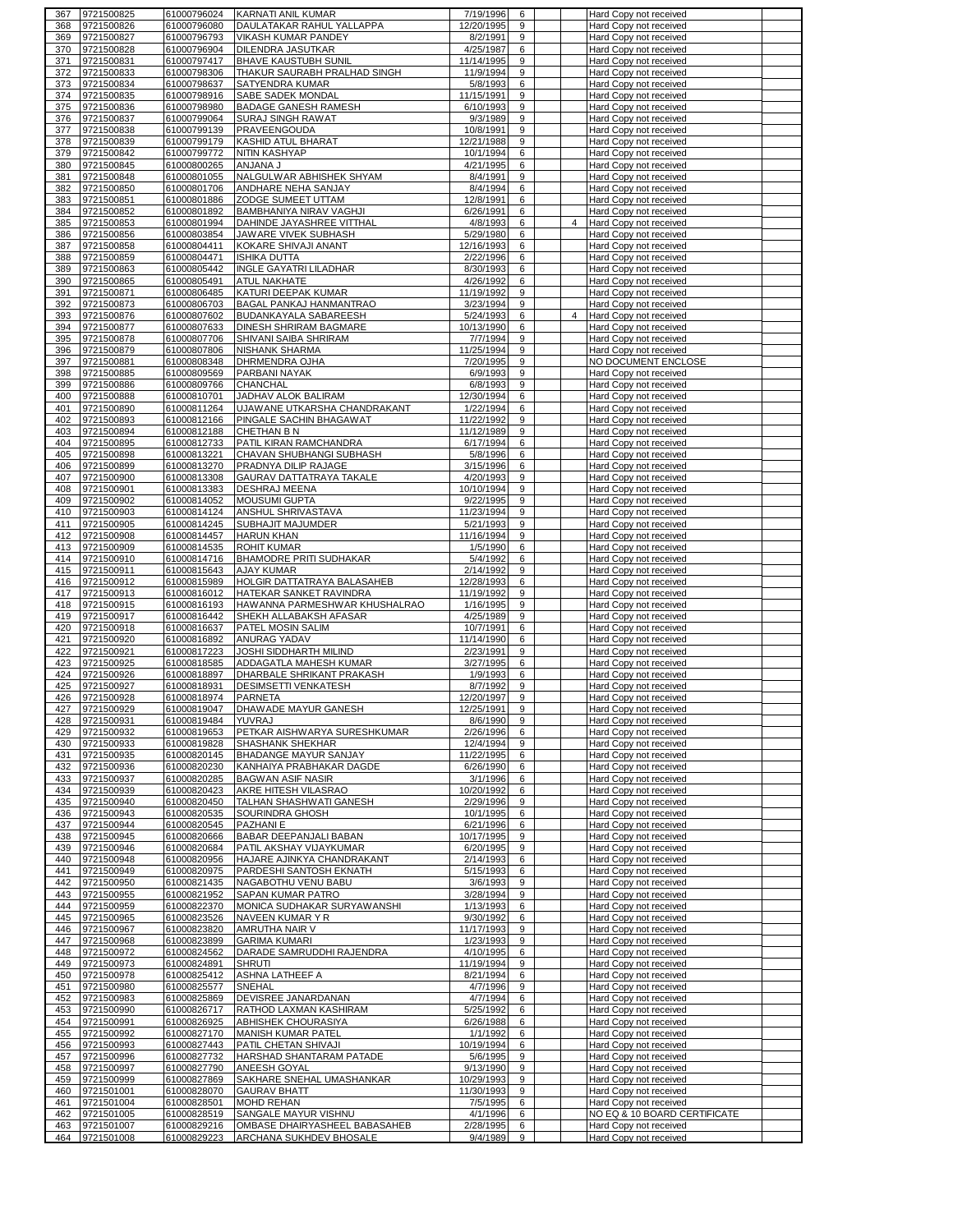| 367        | 9721500825               | 61000796024                | <b>KARNATI ANIL KUMAR</b>                                | 7/19/1996                | 6      |                | Hard Copy not received                           |  |
|------------|--------------------------|----------------------------|----------------------------------------------------------|--------------------------|--------|----------------|--------------------------------------------------|--|
| 368        | 9721500826               | 61000796080                | DAULATAKAR RAHUL YALLAPPA                                | 12/20/1995               | 9      |                | Hard Copy not received                           |  |
| 369        | 9721500827               | 61000796793                | VIKASH KUMAR PANDEY                                      | 8/2/1991                 | 9      |                | Hard Copy not received                           |  |
| 370        | 9721500828               | 61000796904                | DILENDRA JASUTKAR<br><b>BHAVE KAUSTUBH SUNIL</b>         | 4/25/1987<br>11/14/1995  | 6<br>9 |                | Hard Copy not received                           |  |
| 371<br>372 | 9721500831<br>9721500833 | 61000797417<br>61000798306 | THAKUR SAURABH PRALHAD SINGH                             | 11/9/1994                | 9      |                | Hard Copy not received<br>Hard Copy not received |  |
| 373        | 9721500834               | 61000798637                | SATYENDRA KUMAR                                          | 5/8/1993                 | 6      |                | Hard Copy not received                           |  |
| 374        | 9721500835               | 61000798916                | SABE SADEK MONDAL                                        | 11/15/1991               | 9      |                | Hard Copy not received                           |  |
| 375        | 9721500836               | 61000798980                | <b>BADAGE GANESH RAMESH</b>                              | 6/10/1993                | 9      |                | Hard Copy not received                           |  |
| 376        | 9721500837               | 61000799064                | SURAJ SINGH RAWAT                                        | 9/3/1989                 | 9      |                | Hard Copy not received                           |  |
| 377        | 9721500838               | 61000799139                | PRAVEENGOUDA                                             | 10/8/1991                | 9      |                | Hard Copy not received                           |  |
| 378        | 9721500839               | 61000799179                | KASHID ATUL BHARAT                                       | 12/21/1988               | 9      |                | Hard Copy not received                           |  |
| 379        | 9721500842               | 61000799772                | NITIN KASHYAP<br><b>ANJANA J</b>                         | 10/1/1994<br>4/21/1995   | 6<br>6 |                | Hard Copy not received                           |  |
| 380<br>381 | 9721500845<br>9721500848 | 61000800265<br>61000801055 | NALGULWAR ABHISHEK SHYAM                                 | 8/4/1991                 | 9      |                | Hard Copy not received<br>Hard Copy not received |  |
| 382        | 9721500850               | 61000801706                | ANDHARE NEHA SANJAY                                      | 8/4/1994                 | 6      |                | Hard Copy not received                           |  |
| 383        | 9721500851               | 61000801886                | ZODGE SUMEET UTTAM                                       | 12/8/1991                | 6      |                | Hard Copy not received                           |  |
| 384        | 9721500852               | 61000801892                | BAMBHANIYA NIRAV VAGHJI                                  | 6/26/1991                | 6      |                | Hard Copy not received                           |  |
| 385        | 9721500853               | 61000801994                | DAHINDE JAYASHREE VITTHAL                                | 4/8/1993                 | 6      | $\overline{4}$ | Hard Copy not received                           |  |
| 386        | 9721500856               | 61000803854                | JAWARE VIVEK SUBHASH                                     | 5/29/1980                | 6      |                | Hard Copy not received                           |  |
| 387        | 9721500858               | 61000804411                | KOKARE SHIVAJI ANANT                                     | 12/16/1993               | 6      |                | Hard Copy not received                           |  |
| 388<br>389 | 9721500859<br>9721500863 | 61000804471<br>61000805442 | <b>ISHIKA DUTTA</b><br>INGLE GAYATRI LILADHAR            | 2/22/1996<br>8/30/1993   | 6<br>6 |                | Hard Copy not received<br>Hard Copy not received |  |
| 390        | 9721500865               | 61000805491                | ATUL NAKHATE                                             | 4/26/1992                | 6      |                | Hard Copy not received                           |  |
| 391        | 9721500871               | 61000806485                | KATURI DEEPAK KUMAR                                      | 11/19/1992               | 9      |                | Hard Copy not received                           |  |
| 392        | 9721500873               | 61000806703                | BAGAL PANKAJ HANMANTRAO                                  | 3/23/1994                | 9      |                | Hard Copy not received                           |  |
| 393        | 9721500876               | 61000807602                | BUDANKAYALA SABAREESH                                    | 5/24/1993                | 6      | $\overline{4}$ | Hard Copy not received                           |  |
| 394        | 9721500877               | 61000807633                | DINESH SHRIRAM BAGMARE                                   | 10/13/1990               | 6      |                | Hard Copy not received                           |  |
| 395        | 9721500878               | 61000807706                | SHIVANI SAIBA SHRIRAM                                    | 7/7/1994                 | 9      |                | Hard Copy not received                           |  |
| 396        | 9721500879               | 61000807806                | NISHANK SHARMA                                           | 11/25/1994               | 9      |                | Hard Copy not received                           |  |
| 397<br>398 | 9721500881<br>9721500885 | 61000808348<br>61000809569 | DHRMENDRA OJHA<br>PARBANI NAYAK                          | 7/20/1995<br>6/9/1993    | 9<br>9 |                | NO DOCUMENT ENCLOSE<br>Hard Copy not received    |  |
| 399        | 9721500886               | 61000809766                | CHANCHAL                                                 | 6/8/1993                 | 9      |                | Hard Copy not received                           |  |
| 400        | 9721500888               | 61000810701                | JADHAV ALOK BALIRAM                                      | 12/30/1994               | 6      |                | Hard Copy not received                           |  |
| 401        | 9721500890               | 61000811264                | UJAWANE UTKARSHA CHANDRAKANT                             | 1/22/1994                | 6      |                | Hard Copy not received                           |  |
| 402        | 9721500893               | 61000812166                | PINGALE SACHIN BHAGAWAT                                  | 11/22/1992               | 9      |                | Hard Copy not received                           |  |
| 403        | 9721500894               | 61000812188                | CHETHAN B N                                              | 11/12/1989               | 9      |                | Hard Copy not received                           |  |
| 404        | 9721500895               | 61000812733                | PATIL KIRAN RAMCHANDRA                                   | 6/17/1994                | 6      |                | Hard Copy not received                           |  |
| 405        | 9721500898               | 61000813221                | CHAVAN SHUBHANGI SUBHASH                                 | 5/8/1996                 | 6      |                | Hard Copy not received                           |  |
| 406<br>407 | 9721500899<br>9721500900 | 61000813270<br>61000813308 | PRADNYA DILIP RAJAGE<br>GAURAV DATTATRAYA TAKALE         | 3/15/1996<br>4/20/1993   | 6<br>9 |                | Hard Copy not received<br>Hard Copy not received |  |
| 408        | 9721500901               | 61000813383                | DESHRAJ MEENA                                            | 10/10/1994               | 9      |                | Hard Copy not received                           |  |
| 409        | 9721500902               | 61000814052                | <b>MOUSUMI GUPTA</b>                                     | 9/22/1995                | 9      |                | Hard Copy not received                           |  |
| 410        | 9721500903               | 61000814124                | ANSHUL SHRIVASTAVA                                       | 11/23/1994               | 9      |                | Hard Copy not received                           |  |
| 411        | 9721500905               | 61000814245                | SUBHAJIT MAJUMDER                                        | 5/21/1993                | 9      |                | Hard Copy not received                           |  |
| 412        | 9721500908               | 61000814457                | <b>HARUN KHAN</b>                                        | 11/16/1994               | 9      |                | Hard Copy not received                           |  |
| 413        | 9721500909               | 61000814535                | <b>ROHIT KUMAR</b>                                       | 1/5/1990                 | 6      |                | Hard Copy not received                           |  |
| 414        | 9721500910               | 61000814716                | BHAMODRE PRITI SUDHAKAR                                  | 5/4/1992                 | 6      |                | Hard Copy not received                           |  |
| 415<br>416 | 9721500911<br>9721500912 | 61000815643<br>61000815989 | AJAY KUMAR<br>HOLGIR DATTATRAYA BALASAHEB                | 2/14/1992<br>12/28/1993  | 9<br>6 |                | Hard Copy not received<br>Hard Copy not received |  |
| 417        | 9721500913               | 61000816012                | HATEKAR SANKET RAVINDRA                                  | 11/19/1992               | 9      |                | Hard Copy not received                           |  |
| 418        | 9721500915               | 61000816193                | HAWANNA PARMESHWAR KHUSHALRAO                            | 1/16/1995                | 9      |                | Hard Copy not received                           |  |
| 419        | 9721500917               | 61000816442                | SHEKH ALLABAKSH AFASAR                                   | 4/25/1989                | 9      |                | Hard Copy not received                           |  |
| 420        | 9721500918               | 61000816637                | PATEL MOSIN SALIM                                        | 10/7/1991                | 6      |                | Hard Copy not received                           |  |
| 421        | 9721500920               | 61000816892                | ANURAG YADAV                                             | 11/14/1990               | 6      |                | Hard Copy not received                           |  |
| 422        | 9721500921               | 61000817223                | JOSHI SIDDHARTH MILIND                                   | 2/23/1991                | 9      |                | Hard Copy not received                           |  |
| 423<br>424 | 9721500925<br>9721500926 | 61000818585<br>61000818897 | ADDAGATLA MAHESH KUMAR<br>DHARBALE SHRIKANT PRAKASH      | 3/27/1995<br>1/9/1993    | 6<br>6 |                | Hard Copy not received<br>Hard Copy not received |  |
| 425        | 9721500927               | 61000818931                | <b>DESIMSETTI VENKATESH</b>                              | 8/7/1992                 | 9      |                | Hard Copy not received                           |  |
| 426        | 9721500928               | 61000818974                | <b>PARNETA</b>                                           | 12/20/1997               | 9      |                | Hard Copy not received                           |  |
| 427        | 9721500929               | 61000819047                | DHAWADE MAYUR GANESH                                     | 12/25/1991               | 9.     |                | Hard Copy not received                           |  |
| 428        | 9721500931               | 61000819484                | YUVRAJ                                                   | 8/6/1990                 | 9      |                | Hard Copy not received                           |  |
| 429        | 9721500932               | 61000819653                | PETKAR AISHWARYA SURESHKUMAR                             | 2/26/1996                | 6      |                | Hard Copy not received                           |  |
| 430        | 9721500933               | 61000819828                | SHASHANK SHEKHAR                                         | 12/4/1994                | 9      |                | Hard Copy not received                           |  |
| 431        | 9721500935               | 61000820145                | BHADANGE MAYUR SANJAY                                    | 11/22/1995<br>6/26/1990  | 6      |                | Hard Copy not received<br>Hard Copy not received |  |
| 432<br>433 | 9721500936<br>9721500937 | 61000820230<br>61000820285 | KANHAIYA PRABHAKAR DAGDE<br><b>BAGWAN ASIF NASIR</b>     | 3/1/1996                 | 6<br>6 |                | Hard Copy not received                           |  |
| 434        | 9721500939               | 61000820423                | AKRE HITESH VILASRAO                                     | 10/20/1992               | 6      |                | Hard Copy not received                           |  |
| 435        | 9721500940               | 61000820450                | <b>TALHAN SHASHWATI GANESH</b>                           | 2/29/1996                | 9      |                | Hard Copy not received                           |  |
| 436        | 9721500943               | 61000820535                | SOURINDRA GHOSH                                          | 10/1/1995                | 6      |                | Hard Copy not received                           |  |
| 437        | 9721500944               | 61000820545                | PAZHANI E                                                | 6/21/1996                | 6      |                | Hard Copy not received                           |  |
| 438        | 9721500945               | 61000820666                | BABAR DEEPANJALI BABAN                                   | 10/17/1995               | 9      |                | Hard Copy not received                           |  |
| 439        | 9721500946<br>9721500948 | 61000820684                | PATIL AKSHAY VIJAYKUMAR                                  | 6/20/1995                | 9      |                | Hard Copy not received                           |  |
| 440<br>441 | 9721500949               | 61000820956<br>61000820975 | HAJARE AJINKYA CHANDRAKANT<br>PARDESHI SANTOSH EKNATH    | 2/14/1993<br>5/15/1993   | 6<br>6 |                | Hard Copy not received<br>Hard Copy not received |  |
| 442        | 9721500950               | 61000821435                | NAGABOTHU VENU BABU                                      | 3/6/1993                 | 9      |                | Hard Copy not received                           |  |
| 443        | 9721500955               | 61000821952                | SAPAN KUMAR PATRO                                        | 3/28/1994                | 9      |                | Hard Copy not received                           |  |
| 444        | 9721500959               | 61000822370                | MONICA SUDHAKAR SURYAWANSHI                              | 1/13/1993                | 6      |                | Hard Copy not received                           |  |
| 445        | 9721500965               | 61000823526                | NAVEEN KUMAR Y R                                         | 9/30/1992                | 6      |                | Hard Copy not received                           |  |
| 446        | 9721500967               | 61000823820                | AMRUTHA NAIR V                                           | 11/17/1993               | 9      |                | Hard Copy not received                           |  |
| 447        | 9721500968               | 61000823899                | <b>GARIMA KUMARI</b>                                     | 1/23/1993                | 9      |                | Hard Copy not received                           |  |
| 448<br>449 | 9721500972<br>9721500973 | 61000824562<br>61000824891 | DARADE SAMRUDDHI RAJENDRA<br><b>SHRUTI</b>               | 4/10/1995<br>11/19/1994  | 6<br>9 |                | Hard Copy not received<br>Hard Copy not received |  |
| 450        | 9721500978               | 61000825412                | ASHNA LATHEEF A                                          | 8/21/1994                | 6      |                | Hard Copy not received                           |  |
| 451        | 9721500980               | 61000825577                | SNEHAL                                                   | 4/7/1996                 | 9      |                | Hard Copy not received                           |  |
| 452        | 9721500983               | 61000825869                | DEVISREE JANARDANAN                                      | 4/7/1994                 | 6      |                | Hard Copy not received                           |  |
| 453        | 9721500990               | 61000826717                | RATHOD LAXMAN KASHIRAM                                   | 5/25/1992                | 6      |                | Hard Copy not received                           |  |
| 454        | 9721500991               | 61000826925                | ABHISHEK CHOURASIYA                                      | 6/26/1988                | 6      |                | Hard Copy not received                           |  |
| 455        | 9721500992               | 61000827170                | MANISH KUMAR PATEL                                       | 1/1/1992                 | 6      |                | Hard Copy not received                           |  |
| 456        | 9721500993               | 61000827443                | PATIL CHETAN SHIVAJI                                     | 10/19/1994               | 6      |                | Hard Copy not received                           |  |
| 457<br>458 | 9721500996               | 61000827732                | HARSHAD SHANTARAM PATADE                                 | 5/6/1995                 | 9      |                | Hard Copy not received<br>Hard Copy not received |  |
|            |                          |                            |                                                          |                          |        |                |                                                  |  |
|            | 9721500997               | 61000827790                | ANEESH GOYAL                                             | 9/13/1990                | 9      |                |                                                  |  |
| 459<br>460 | 9721500999<br>9721501001 | 61000827869<br>61000828070 | SAKHARE SNEHAL UMASHANKAR<br><b>GAURAV BHATT</b>         | 10/29/1993<br>11/30/1993 | 9<br>9 |                | Hard Copy not received<br>Hard Copy not received |  |
| 461        | 9721501004               | 61000828501                | MOHD REHAN                                               | 7/5/1995                 | 6      |                | Hard Copy not received                           |  |
| 462        | 9721501005               | 61000828519                | SANGALE MAYUR VISHNU                                     | 4/1/1996                 | 6      |                | NO EQ & 10 BOARD CERTIFICATE                     |  |
| 463<br>464 | 9721501007<br>9721501008 | 61000829216<br>61000829223 | OMBASE DHAIRYASHEEL BABASAHEB<br>ARCHANA SUKHDEV BHOSALE | 2/28/1995<br>9/4/1989    | 6<br>9 |                | Hard Copy not received<br>Hard Copy not received |  |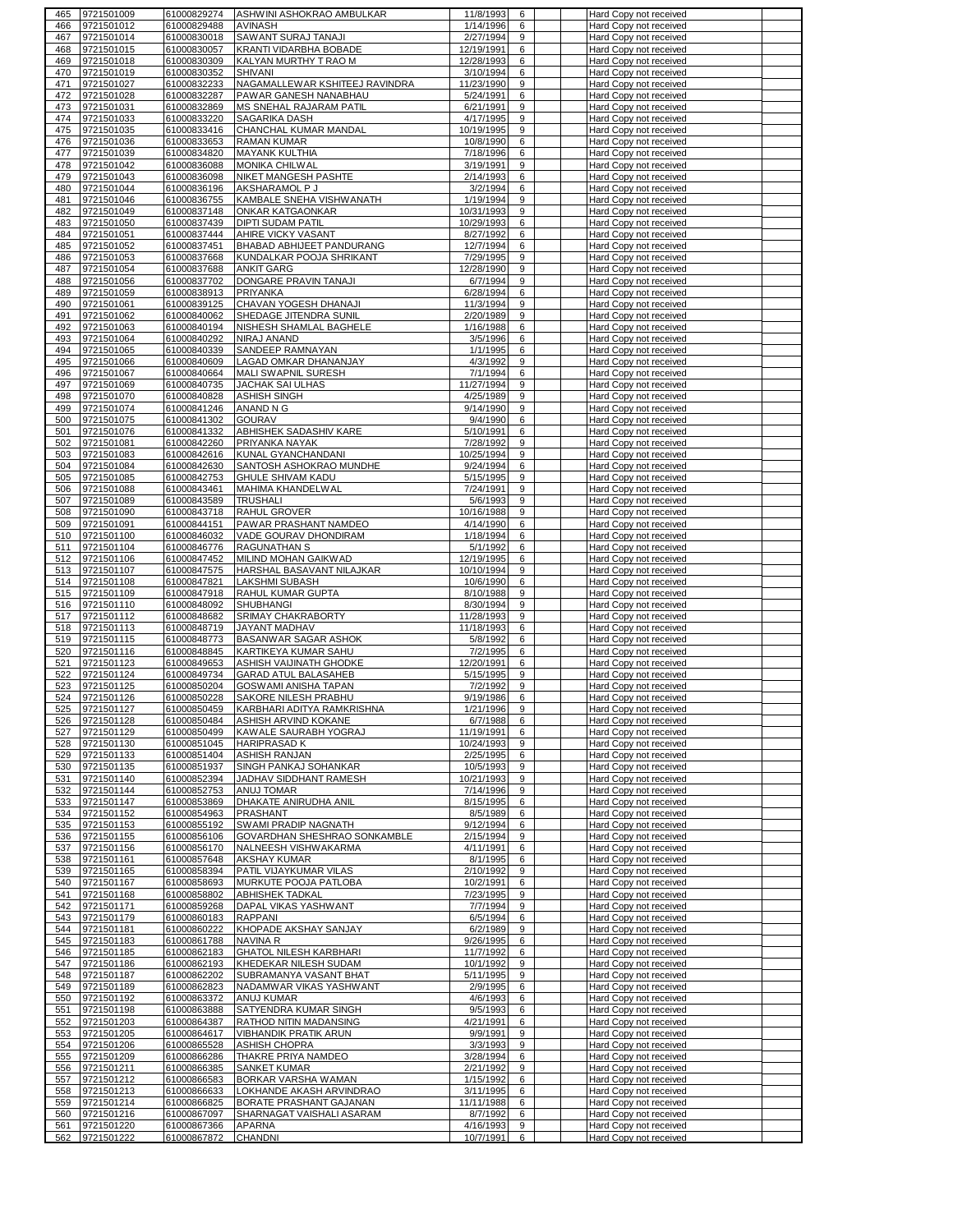| 465        | 9721501009               | 61000829274                | ASHWINI ASHOKRAO AMBULKAR                             | 11/8/1993              | 6                | Hard Copy not received                           |  |
|------------|--------------------------|----------------------------|-------------------------------------------------------|------------------------|------------------|--------------------------------------------------|--|
| 466        | 9721501012               | 61000829488                | <b>AVINASH</b>                                        | 1/14/1996              | 6                | Hard Copy not received                           |  |
| 467        | 9721501014               | 61000830018                | SAWANT SURAJ TANAJI                                   | 2/27/1994              | 9                | Hard Copy not received                           |  |
| 468        | 9721501015               | 61000830057                | KRANTI VIDARBHA BOBADE                                | 12/19/1991             | 6                | Hard Copy not received                           |  |
| 469        | 9721501018               | 61000830309                | KALYAN MURTHY T RAO M                                 | 12/28/1993             | 6                | Hard Copy not received                           |  |
| 470        | 9721501019               | 61000830352                | SHIVANI                                               | 3/10/1994              | 6                | Hard Copy not received                           |  |
| 471        | 9721501027               | 61000832233                | NAGAMALLEWAR KSHITEEJ RAVINDRA                        | 11/23/1990             | 9                | Hard Copy not received                           |  |
| 472        | 9721501028               | 61000832287                | PAWAR GANESH NANABHAU                                 | 5/24/1991              | 6                | Hard Copy not received                           |  |
| 473        | 9721501031               | 61000832869                | MS SNEHAL RAJARAM PATIL                               | 6/21/1991              | 9                | Hard Copy not received                           |  |
| 474        | 9721501033               | 61000833220                | SAGARIKA DASH                                         | 4/17/1995              | 9                | Hard Copy not received                           |  |
| 475        | 9721501035               | 61000833416                | CHANCHAL KUMAR MANDAL                                 | 10/19/1995             | 9                | Hard Copy not received                           |  |
| 476        | 9721501036               | 61000833653                | <b>RAMAN KUMAR</b>                                    | 10/8/1990              | 6                | Hard Copy not received                           |  |
| 477        | 9721501039               | 61000834820                | <b>MAYANK KULTHIA</b>                                 | 7/18/1996              | 6                | Hard Copy not received                           |  |
| 478        | 9721501042               | 61000836088                | <b>MONIKA CHILWAL</b>                                 | 3/19/1991              | 9                | Hard Copy not received                           |  |
| 479        | 9721501043               | 61000836098                | NIKET MANGESH PASHTE                                  | 2/14/1993              | 6                | Hard Copy not received                           |  |
| 480        | 9721501044               | 61000836196                | AKSHARAMOL P J                                        | 3/2/1994               | 6                | Hard Copy not received                           |  |
| 481        | 9721501046               | 61000836755                | KAMBALE SNEHA VISHWANATH                              | 1/19/1994              | $\boldsymbol{9}$ | Hard Copy not received                           |  |
| 482        | 9721501049               | 61000837148                | ONKAR KATGAONKAR                                      | 10/31/1993             | 9                | Hard Copy not received                           |  |
| 483        | 9721501050               | 61000837439                | DIPTI SUDAM PATIL                                     | 10/29/1993             | 6                | Hard Copy not received                           |  |
| 484        | 9721501051               | 61000837444                | AHIRE VICKY VASANT                                    | 8/27/1992              | 6                | Hard Copy not received                           |  |
| 485<br>486 | 9721501052<br>9721501053 | 61000837451<br>61000837668 | BHABAD ABHIJEET PANDURANG<br>KUNDALKAR POOJA SHRIKANT | 12/7/1994<br>7/29/1995 | 6<br>9           | Hard Copy not received<br>Hard Copy not received |  |
| 487        | 9721501054               | 61000837688                | <b>ANKIT GARG</b>                                     | 12/28/1990             | 9                | Hard Copy not received                           |  |
| 488        | 9721501056               | 61000837702                | DONGARE PRAVIN TANAJI                                 | 6/7/1994               | 9                | Hard Copy not received                           |  |
| 489        | 9721501059               | 61000838913                | PRIYANKA                                              | 6/28/1994              | 6                | Hard Copy not received                           |  |
| 490        | 9721501061               | 61000839125                | CHAVAN YOGESH DHANAJI                                 | 11/3/1994              | 9                | Hard Copy not received                           |  |
| 491        | 9721501062               | 61000840062                | SHEDAGE JITENDRA SUNIL                                | 2/20/1989              | 9                | Hard Copy not received                           |  |
| 492        | 9721501063               | 61000840194                | NISHESH SHAMLAL BAGHELE                               | 1/16/1988              | 6                | Hard Copy not received                           |  |
| 493        | 9721501064               | 61000840292                | NIRAJ ANAND                                           | 3/5/1996               | 6                | Hard Copy not received                           |  |
| 494        | 9721501065               | 61000840339                | SANDEEP RAMNAYAN                                      | 1/1/1995               | 6                | Hard Copy not received                           |  |
| 495        | 9721501066               | 61000840609                | LAGAD OMKAR DHANANJAY                                 | 4/3/1992               | 9                | Hard Copy not received                           |  |
| 496        | 9721501067               | 61000840664                | MALI SWAPNIL SURESH                                   | 7/1/1994               | 6                | Hard Copy not received                           |  |
| 497        | 9721501069               | 61000840735                | JACHAK SAI ULHAS                                      | 11/27/1994             | 9                | Hard Copy not received                           |  |
| 498        | 9721501070               | 61000840828                | <b>ASHISH SINGH</b>                                   | 4/25/1989              | 9                | Hard Copy not received                           |  |
| 499        | 9721501074               | 61000841246                | ANAND N G                                             | 9/14/1990              | 9                | Hard Copy not received                           |  |
| 500        | 9721501075               | 61000841302                | <b>GOURAV</b>                                         | 9/4/1990               | 6                | Hard Copy not received                           |  |
| 501        | 9721501076               | 61000841332                | ABHISHEK SADASHIV KARE                                | 5/10/1991              | 6                | Hard Copy not received                           |  |
| 502        | 9721501081               | 61000842260                | PRIYANKA NAYAK                                        | 7/28/1992              | 9                | Hard Copy not received                           |  |
| 503        | 9721501083               | 61000842616                | KUNAL GYANCHANDANI                                    | 10/25/1994             | 9                | Hard Copy not received                           |  |
| 504        | 9721501084               | 61000842630                | SANTOSH ASHOKRAO MUNDHE                               | 9/24/1994              | 6                | Hard Copy not received                           |  |
| 505        | 9721501085               | 61000842753                | GHULE SHIVAM KADU                                     | 5/15/1995              | 9                | Hard Copy not received                           |  |
| 506        | 9721501088               | 61000843461                | MAHIMA KHANDELWAL                                     | 7/24/1991              | 9                | Hard Copy not received                           |  |
| 507        | 9721501089               | 61000843589                | <b>TRUSHALI</b>                                       | 5/6/1993               | 9                | Hard Copy not received                           |  |
| 508        | 9721501090               | 61000843718                | RAHUL GROVER                                          | 10/16/1988             | 9                | Hard Copy not received                           |  |
| 509        | 9721501091               | 61000844151                | PAWAR PRASHANT NAMDEO                                 | 4/14/1990              | 6                | Hard Copy not received                           |  |
| 510        | 9721501100               | 61000846032                | VADE GOURAV DHONDIRAM                                 | 1/18/1994              | 6                | Hard Copy not received                           |  |
| 511        | 9721501104               | 61000846776                | <b>RAGUNATHAN S</b>                                   | 5/1/1992               | 6                | Hard Copy not received                           |  |
| 512        | 9721501106               | 61000847452                | MILIND MOHAN GAIKWAD                                  | 12/19/1995             | 6                | Hard Copy not received                           |  |
| 513        | 9721501107               | 61000847575                | HARSHAL BASAVANT NILAJKAR                             | 10/10/1994             | 9                | Hard Copy not received                           |  |
| 514        | 9721501108               | 61000847821                | <b>LAKSHMI SUBASH</b>                                 | 10/6/1990              | 6                | Hard Copy not received                           |  |
| 515        | 9721501109               | 61000847918                | RAHUL KUMAR GUPTA                                     | 8/10/1988              | 9                | Hard Copy not received                           |  |
| 516        | 9721501110               | 61000848092                | <b>SHUBHANGI</b>                                      | 8/30/1994              | 9                | Hard Copy not received                           |  |
| 517        | 9721501112               | 61000848682                | SRIMAY CHAKRABORTY                                    | 11/28/1993             | 9                | Hard Copy not received                           |  |
| 518        | 9721501113               | 61000848719                | <b>JAYANT MADHAV</b>                                  | 11/18/1993             | 6                | Hard Copy not received                           |  |
| 519<br>520 | 9721501115<br>9721501116 | 61000848773<br>61000848845 | BASANWAR SAGAR ASHOK<br>KARTIKEYA KUMAR SAHU          | 5/8/1992<br>7/2/1995   | 6<br>6           | Hard Copy not received<br>Hard Copy not received |  |
| 521        | 9721501123               | 61000849653                | ASHISH VAIJINATH GHODKE                               | 12/20/1991             | 6                | Hard Copy not received                           |  |
| 522        | 9721501124               | 61000849734                | <b>GARAD ATUL BALASAHEB</b>                           | 5/15/1995              | 9                | Hard Copy not received                           |  |
| 523        | 9721501125               | 61000850204                | GOSWAMI ANISHA TAPAN                                  | 7/2/1992               | 9                | Hard Copy not received                           |  |
| 524        | 9721501126               | 61000850228                | SAKORE NILESH PRABHU                                  | 9/19/1986              | 6                | Hard Copy not received                           |  |
|            | 525 9721501127           | 61000850459                | KARBHARI ADITYA RAMKRISHNA                            | 1/21/1996              | 9                | Hard Copy not received                           |  |
| 526        | 9721501128               | 61000850484                | ASHISH ARVIND KOKANE                                  | 6/7/1988               | 6                | Hard Copy not received                           |  |
| 527        | 9721501129               | 61000850499                | KAWALE SAURABH YOGRAJ                                 | 11/19/1991             | 6                | Hard Copy not received                           |  |
| 528        | 9721501130               | 61000851045                | <b>HARIPRASAD K</b>                                   | 10/24/1993             | 9                | Hard Copy not received                           |  |
| 529        | 9721501133               | 61000851404                | <b>ASHISH RANJAN</b>                                  | 2/25/1995              | 6                | Hard Copy not received                           |  |
| 530        | 9721501135               | 61000851937                | SINGH PANKAJ SOHANKAR                                 | 10/5/1993              | 9                | Hard Copy not received                           |  |
| 531        | 9721501140               | 61000852394                | JADHAV SIDDHANT RAMESH                                | 10/21/1993             | 9                | Hard Copy not received                           |  |
| 532        | 9721501144               | 61000852753                | ANUJ TOMAR                                            | 7/14/1996              | 9                | Hard Copy not received                           |  |
| 533        | 9721501147               | 61000853869                | DHAKATE ANIRUDHA ANIL                                 | 8/15/1995              | 6                | Hard Copy not received                           |  |
| 534        | 9721501152               | 61000854963                | PRASHANT                                              | 8/5/1989               | 6                | Hard Copy not received                           |  |
| 535        | 9721501153               | 61000855192                | SWAMI PRADIP NAGNATH                                  | 9/12/1994              | 6                | Hard Copy not received                           |  |
| 536        | 9721501155               | 61000856106                | GOVARDHAN SHESHRAO SONKAMBLE                          | 2/15/1994              | 9                | Hard Copy not received                           |  |
| 537        | 9721501156               | 61000856170                | NALNEESH VISHWAKARMA                                  | 4/11/1991              | 6                | Hard Copy not received                           |  |
| 538        | 9721501161<br>9721501165 | 61000857648<br>61000858394 | AKSHAY KUMAR<br>PATIL VIJAYKUMAR VILAS                | 8/1/1995<br>2/10/1992  | 6<br>9           | Hard Copy not received<br>Hard Copy not received |  |
| 539<br>540 | 9721501167               | 61000858693                | MURKUTE POOJA PATLOBA                                 | 10/2/1991              | 6                | Hard Copy not received                           |  |
| 541        | 9721501168               | 61000858802                | <b>ABHISHEK TADKAL</b>                                | 7/23/1995              | 9                | Hard Copy not received                           |  |
| 542        | 9721501171               | 61000859268                | DAPAL VIKAS YASHWANT                                  | 7/7/1994               | 9                | Hard Copy not received                           |  |
| 543        | 9721501179               | 61000860183                | RAPPANI                                               | 6/5/1994               | 6                | Hard Copy not received                           |  |
| 544        | 9721501181               | 61000860222                | KHOPADE AKSHAY SANJAY                                 | 6/2/1989               | 9                | Hard Copy not received                           |  |
| 545        | 9721501183               | 61000861788                | <b>NAVINA R</b>                                       | 9/26/1995              | 6                | Hard Copy not received                           |  |
| 546        | 9721501185               | 61000862183                | <b>GHATOL NILESH KARBHARI</b>                         | 11/7/1992              | 6                | Hard Copy not received                           |  |
| 547        | 9721501186               | 61000862193                | KHEDEKAR NILESH SUDAM                                 | 10/1/1992              | 9                | Hard Copy not received                           |  |
| 548        | 9721501187               | 61000862202                | SUBRAMANYA VASANT BHAT                                | 5/11/1995              | 9                | Hard Copy not received                           |  |
| 549        | 9721501189               | 61000862823                | NADAMWAR VIKAS YASHWANT                               | 2/9/1995               | 6                | Hard Copy not received                           |  |
| 550        | 9721501192               | 61000863372                | ANUJ KUMAR                                            | 4/6/1993               | 6                | Hard Copy not received                           |  |
| 551        | 9721501198               | 61000863888                | SATYENDRA KUMAR SINGH                                 | 9/5/1993               | 6                | Hard Copy not received                           |  |
| 552        | 9721501203               | 61000864387                | RATHOD NITIN MADANSING                                | 4/21/1991              | 6                | Hard Copy not received                           |  |
| 553        | 9721501205               | 61000864617                | <b>VIBHANDIK PRATIK ARUN</b>                          | 9/9/1991               | 9                | Hard Copy not received                           |  |
| 554        | 9721501206               | 61000865528                | ASHISH CHOPRA                                         | 3/3/1993               | 9                | Hard Copy not received                           |  |
| 555        | 9721501209               | 61000866286                | THAKRE PRIYA NAMDEO                                   | 3/28/1994              | 6                | Hard Copy not received                           |  |
| 556        | 9721501211               | 61000866385                | <b>SANKET KUMAR</b>                                   | 2/21/1992              | 9                | Hard Copy not received                           |  |
| 557        | 9721501212               | 61000866583                | BORKAR VARSHA WAMAN                                   | 1/15/1992              | 6                | Hard Copy not received                           |  |
| 558        | 9721501213               | 61000866633                | LOKHANDE AKASH ARVINDRAO                              | 3/11/1995              | 6                | Hard Copy not received                           |  |
| 559        | 9721501214               | 61000866825                | BORATE PRASHANT GAJANAN                               | 11/11/1988             | 6                | Hard Copy not received                           |  |
| 560        | 9721501216               | 61000867097                | SHARNAGAT VAISHALI ASARAM                             | 8/7/1992               | 6                | Hard Copy not received                           |  |
| 561        | 9721501220               | 61000867366                | APARNA                                                | 4/16/1993              | 9                | Hard Copy not received                           |  |
| 562        | 9721501222               | 61000867872                | <b>CHANDNI</b>                                        | 10/7/1991              | 6                | Hard Copy not received                           |  |